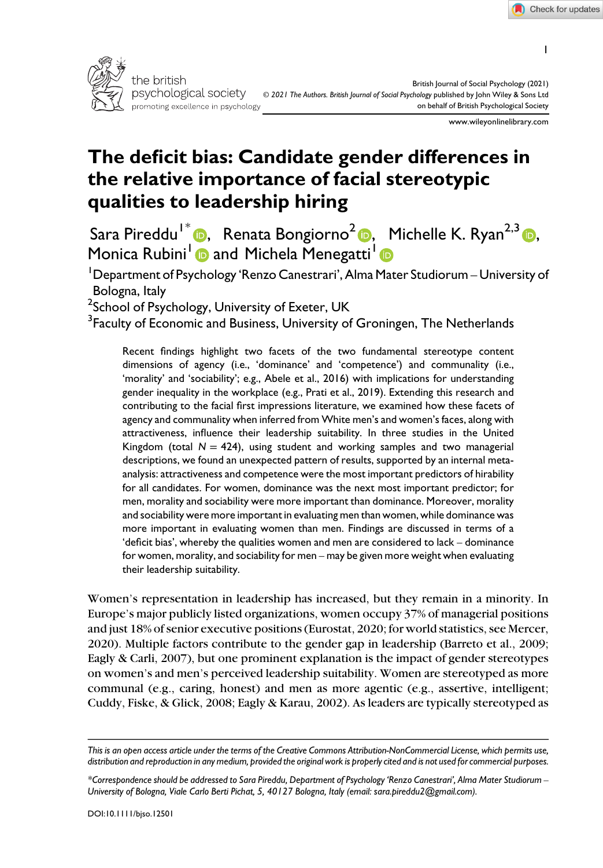1



www.wileyonlinelibrary.com

# The deficit bias: Candidate gender differences in the relative importance of facial stereotypic qualities to leadership hiring

Sara Pireddu<sup>1\*</sup> **D**, Renata Bongiorno<sup>[2](https://orcid.org/0000-0003-4194-8087)</sup> **D**, Michelle K. Ryan<sup>2,[3](https://orcid.org/0000-0003-1091-9275)</sup> D, Monica Rubini<sup>[1](https://orcid.org/0000-0003-4720-3932)</sup> and Michela Menegatti<sup>1</sup>

1 Department of Psychology 'Renzo Canestrari', Alma Mater Studiorum – University of Bologna, Italy

<sup>2</sup>School of Psychology, University of Exeter, UK

 $^3$ Faculty of Economic and Business, University of Groningen, The Netherlands

Recent findings highlight two facets of the two fundamental stereotype content dimensions of agency (i.e., 'dominance' and 'competence') and communality (i.e., 'morality' and 'sociability'; e.g., Abele et al., 2016) with implications for understanding gender inequality in the workplace (e.g., Prati et al., 2019). Extending this research and contributing to the facial first impressions literature, we examined how these facets of agency and communality when inferred from White men's and women's faces, along with attractiveness, influence their leadership suitability. In three studies in the United Kingdom (total  $N = 424$ ), using student and working samples and two managerial descriptions, we found an unexpected pattern of results, supported by an internal metaanalysis: attractiveness and competence were the most important predictors of hirability for all candidates. For women, dominance was the next most important predictor; for men, morality and sociability were more important than dominance. Moreover, morality and sociability were more important in evaluating men than women, while dominance was more important in evaluating women than men. Findings are discussed in terms of a 'deficit bias', whereby the qualities women and men are considered to lack – dominance for women, morality, and sociability for men – may be given more weight when evaluating their leadership suitability.

Women's representation in leadership has increased, but they remain in a minority. In Europe's major publicly listed organizations, women occupy 37% of managerial positions and just 18% of senior executive positions (Eurostat, 2020; for world statistics, see Mercer, 2020). Multiple factors contribute to the gender gap in leadership (Barreto et al., 2009; Eagly & Carli, 2007), but one prominent explanation is the impact of gender stereotypes on women's and men's perceived leadership suitability. Women are stereotyped as more communal (e.g., caring, honest) and men as more agentic (e.g., assertive, intelligent; Cuddy, Fiske, & Glick, 2008; Eagly & Karau, 2002). As leaders are typically stereotyped as

This is an open access article under the terms of the [Creative Commons Attribution-NonCommercial](http://creativecommons.org/licenses/by-nc/4.0/) License, which permits use, distribution and reproduction in any medium, provided the original work is properly cited and is not used for commercial purposes.

<sup>\*</sup>Correspondence should be addressed to Sara Pireddu, Department of Psychology 'Renzo Canestrari', Alma Mater Studiorum – University of Bologna, Viale Carlo Berti Pichat, 5, 40127 Bologna, Italy (email: [sara.pireddu2@gmail.com\)](mailto:).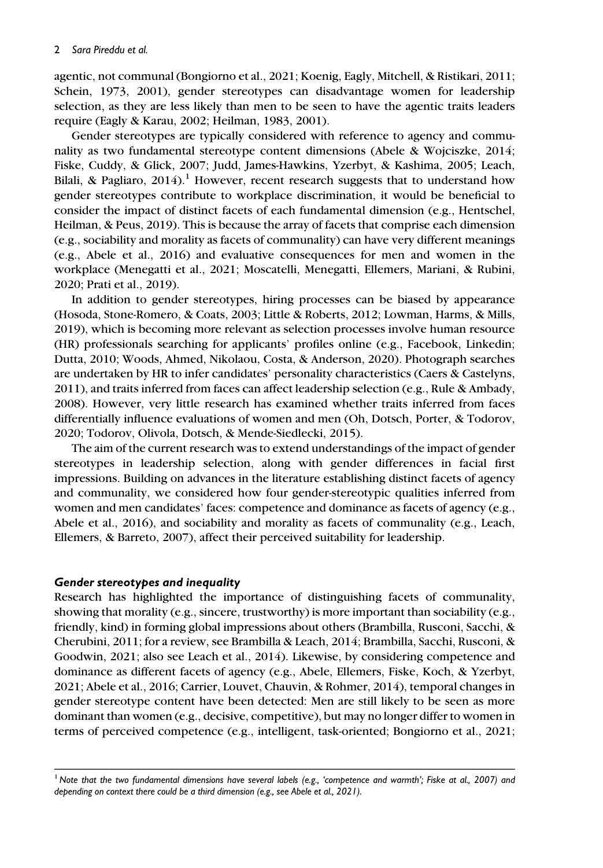agentic, not communal (Bongiorno et al., 2021; Koenig, Eagly, Mitchell, & Ristikari, 2011; Schein, 1973, 2001), gender stereotypes can disadvantage women for leadership selection, as they are less likely than men to be seen to have the agentic traits leaders require (Eagly & Karau, 2002; Heilman, 1983, 2001).

Gender stereotypes are typically considered with reference to agency and communality as two fundamental stereotype content dimensions (Abele & Wojciszke, 2014; Fiske, Cuddy, & Glick, 2007; Judd, James-Hawkins, Yzerbyt, & Kashima, 2005; Leach, Bilali, & Pagliaro,  $2014$ ).<sup>1</sup> However, recent research suggests that to understand how gender stereotypes contribute to workplace discrimination, it would be beneficial to consider the impact of distinct facets of each fundamental dimension (e.g., Hentschel, Heilman, & Peus, 2019). This is because the array of facets that comprise each dimension (e.g., sociability and morality as facets of communality) can have very different meanings (e.g., Abele et al., 2016) and evaluative consequences for men and women in the workplace (Menegatti et al., 2021; Moscatelli, Menegatti, Ellemers, Mariani, & Rubini, 2020; Prati et al., 2019).

In addition to gender stereotypes, hiring processes can be biased by appearance (Hosoda, Stone-Romero, & Coats, 2003; Little & Roberts, 2012; Lowman, Harms, & Mills, 2019), which is becoming more relevant as selection processes involve human resource (HR) professionals searching for applicants' profiles online (e.g., Facebook, Linkedin; Dutta, 2010; Woods, Ahmed, Nikolaou, Costa, & Anderson, 2020). Photograph searches are undertaken by HR to infer candidates' personality characteristics (Caers & Castelyns, 2011), and traits inferred from faces can affect leadership selection (e.g., Rule & Ambady, 2008). However, very little research has examined whether traits inferred from faces differentially influence evaluations of women and men (Oh, Dotsch, Porter, & Todorov, 2020; Todorov, Olivola, Dotsch, & Mende-Siedlecki, 2015).

The aim of the current research was to extend understandings of the impact of gender stereotypes in leadership selection, along with gender differences in facial first impressions. Building on advances in the literature establishing distinct facets of agency and communality, we considered how four gender-stereotypic qualities inferred from women and men candidates' faces: competence and dominance as facets of agency (e.g., Abele et al., 2016), and sociability and morality as facets of communality (e.g., Leach, Ellemers, & Barreto, 2007), affect their perceived suitability for leadership.

#### Gender stereotypes and inequality

Research has highlighted the importance of distinguishing facets of communality, showing that morality (e.g., sincere, trustworthy) is more important than sociability (e.g., friendly, kind) in forming global impressions about others (Brambilla, Rusconi, Sacchi, & Cherubini, 2011; for a review, see Brambilla & Leach, 2014; Brambilla, Sacchi, Rusconi, & Goodwin, 2021; also see Leach et al., 2014). Likewise, by considering competence and dominance as different facets of agency (e.g., Abele, Ellemers, Fiske, Koch, & Yzerbyt, 2021; Abele et al., 2016; Carrier, Louvet, Chauvin, & Rohmer, 2014), temporal changes in gender stereotype content have been detected: Men are still likely to be seen as more dominant than women (e.g., decisive, competitive), but may no longer differ to women in terms of perceived competence (e.g., intelligent, task-oriented; Bongiorno et al., 2021;

<sup>&</sup>lt;sup>1</sup> Note that the two fundamental dimensions have several labels (e.g., 'competence and warmth'; Fiske at al., 2007) and depending on context there could be a third dimension (e.g., see Abele et al., 2021).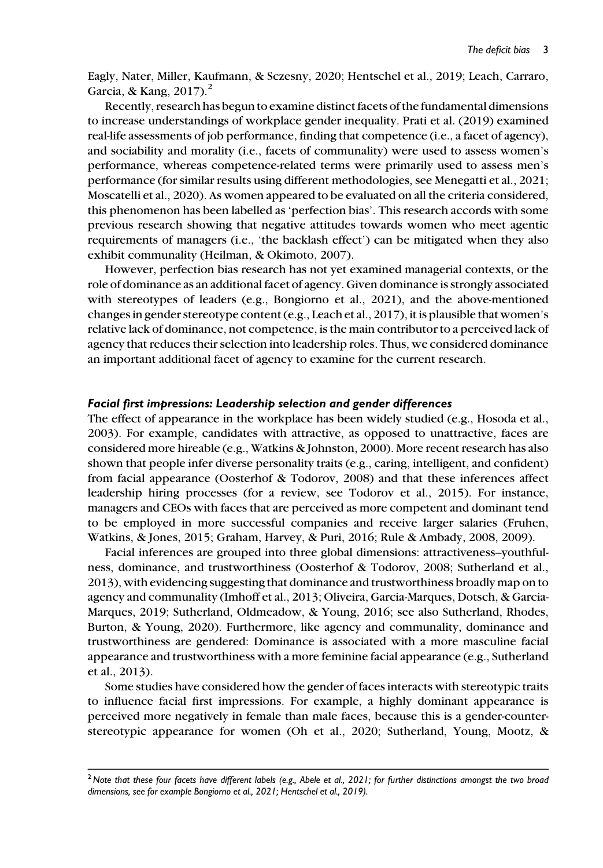Eagly, Nater, Miller, Kaufmann, & Sczesny, 2020; Hentschel et al., 2019; Leach, Carraro, Garcia, & Kang,  $2017$ ).<sup>2</sup>

Recently, research has begun to examine distinct facets of the fundamental dimensions to increase understandings of workplace gender inequality. Prati et al. (2019) examined real-life assessments of job performance, finding that competence (i.e., a facet of agency), and sociability and morality (i.e., facets of communality) were used to assess women's performance, whereas competence-related terms were primarily used to assess men's performance (for similar results using different methodologies, see Menegatti et al., 2021; Moscatelli et al., 2020). As women appeared to be evaluated on all the criteria considered, this phenomenon has been labelled as 'perfection bias'. This research accords with some previous research showing that negative attitudes towards women who meet agentic requirements of managers (i.e., 'the backlash effect') can be mitigated when they also exhibit communality (Heilman, & Okimoto, 2007).

However, perfection bias research has not yet examined managerial contexts, or the role of dominance as an additional facet of agency. Given dominance is strongly associated with stereotypes of leaders (e.g., Bongiorno et al., 2021), and the above-mentioned changes in gender stereotype content (e.g., Leach et al., 2017), it is plausible that women's relative lack of dominance, not competence, is the main contributor to a perceived lack of agency that reduces their selection into leadership roles. Thus, we considered dominance an important additional facet of agency to examine for the current research.

#### Facial first impressions: Leadership selection and gender differences

The effect of appearance in the workplace has been widely studied (e.g., Hosoda et al., 2003). For example, candidates with attractive, as opposed to unattractive, faces are considered more hireable (e.g., Watkins & Johnston, 2000). More recent research has also shown that people infer diverse personality traits (e.g., caring, intelligent, and confident) from facial appearance (Oosterhof & Todorov, 2008) and that these inferences affect leadership hiring processes (for a review, see Todorov et al., 2015). For instance, managers and CEOs with faces that are perceived as more competent and dominant tend to be employed in more successful companies and receive larger salaries (Fruhen, Watkins, & Jones, 2015; Graham, Harvey, & Puri, 2016; Rule & Ambady, 2008, 2009).

Facial inferences are grouped into three global dimensions: attractiveness–youthfulness, dominance, and trustworthiness (Oosterhof & Todorov, 2008; Sutherland et al., 2013), with evidencing suggesting that dominance and trustworthiness broadly map on to agency and communality (Imhoff et al., 2013; Oliveira, Garcia-Marques, Dotsch, & Garcia-Marques, 2019; Sutherland, Oldmeadow, & Young, 2016; see also Sutherland, Rhodes, Burton, & Young, 2020). Furthermore, like agency and communality, dominance and trustworthiness are gendered: Dominance is associated with a more masculine facial appearance and trustworthiness with a more feminine facial appearance (e.g., Sutherland et al., 2013).

Some studies have considered how the gender of faces interacts with stereotypic traits to influence facial first impressions. For example, a highly dominant appearance is perceived more negatively in female than male faces, because this is a gender-counterstereotypic appearance for women (Oh et al., 2020; Sutherland, Young, Mootz, &

<sup>&</sup>lt;sup>2</sup> Note that these four facets have different labels (e.g., Abele et al., 2021; for further distinctions amongst the two broad dimensions, see for example Bongiorno et al., 2021; Hentschel et al., 2019).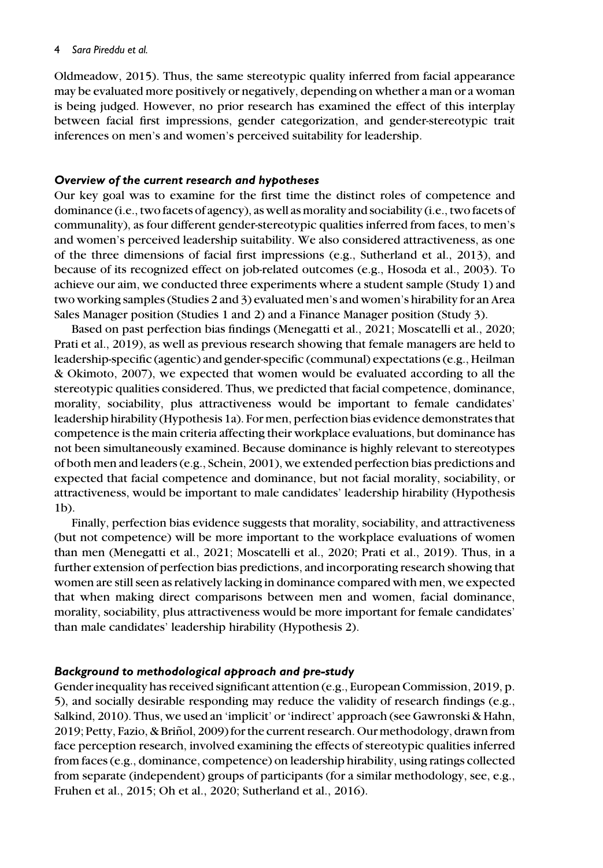#### 4 Sara Pireddu et al.

Oldmeadow, 2015). Thus, the same stereotypic quality inferred from facial appearance may be evaluated more positively or negatively, depending on whether a man or a woman is being judged. However, no prior research has examined the effect of this interplay between facial first impressions, gender categorization, and gender-stereotypic trait inferences on men's and women's perceived suitability for leadership.

### Overview of the current research and hypotheses

Our key goal was to examine for the first time the distinct roles of competence and dominance (i.e., two facets of agency), as well as morality and sociability (i.e., two facets of communality), as four different gender-stereotypic qualities inferred from faces, to men's and women's perceived leadership suitability. We also considered attractiveness, as one of the three dimensions of facial first impressions (e.g., Sutherland et al., 2013), and because of its recognized effect on job-related outcomes (e.g., Hosoda et al., 2003). To achieve our aim, we conducted three experiments where a student sample (Study 1) and two working samples (Studies 2 and 3) evaluated men's and women's hirability for an Area Sales Manager position (Studies 1 and 2) and a Finance Manager position (Study 3).

Based on past perfection bias findings (Menegatti et al., 2021; Moscatelli et al., 2020; Prati et al., 2019), as well as previous research showing that female managers are held to leadership-specific (agentic) and gender-specific (communal) expectations (e.g., Heilman & Okimoto, 2007), we expected that women would be evaluated according to all the stereotypic qualities considered. Thus, we predicted that facial competence, dominance, morality, sociability, plus attractiveness would be important to female candidates' leadership hirability (Hypothesis 1a). For men, perfection bias evidence demonstrates that competence is the main criteria affecting their workplace evaluations, but dominance has not been simultaneously examined. Because dominance is highly relevant to stereotypes of both men and leaders (e.g., Schein, 2001), we extended perfection bias predictions and expected that facial competence and dominance, but not facial morality, sociability, or attractiveness, would be important to male candidates' leadership hirability (Hypothesis 1b).

Finally, perfection bias evidence suggests that morality, sociability, and attractiveness (but not competence) will be more important to the workplace evaluations of women than men (Menegatti et al., 2021; Moscatelli et al., 2020; Prati et al., 2019). Thus, in a further extension of perfection bias predictions, and incorporating research showing that women are still seen as relatively lacking in dominance compared with men, we expected that when making direct comparisons between men and women, facial dominance, morality, sociability, plus attractiveness would be more important for female candidates' than male candidates' leadership hirability (Hypothesis 2).

## Background to methodological approach and pre-study

Gender inequality has received significant attention (e.g., European Commission, 2019, p. 5), and socially desirable responding may reduce the validity of research findings (e.g., Salkind, 2010). Thus, we used an 'implicit' or 'indirect' approach (see Gawronski & Hahn, 2019; Petty, Fazio, & Brinol, 2009) for the current research. Our methodology, drawn from ˜ face perception research, involved examining the effects of stereotypic qualities inferred from faces (e.g., dominance, competence) on leadership hirability, using ratings collected from separate (independent) groups of participants (for a similar methodology, see, e.g., Fruhen et al., 2015; Oh et al., 2020; Sutherland et al., 2016).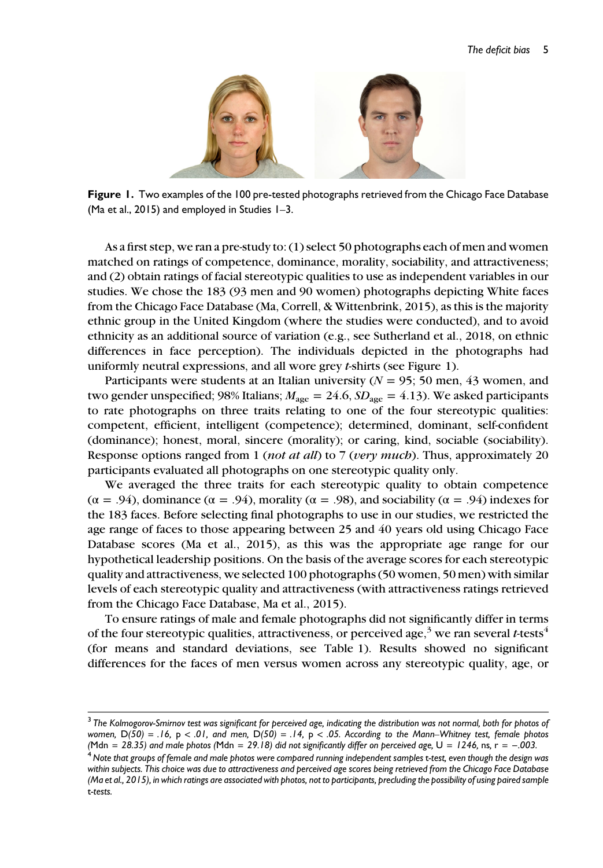

Figure 1. Two examples of the 100 pre-tested photographs retrieved from the Chicago Face Database (Ma et al., 2015) and employed in Studies 1–3.

As a first step, we ran a pre-study to: (1) select 50 photographs each of men and women matched on ratings of competence, dominance, morality, sociability, and attractiveness; and (2) obtain ratings of facial stereotypic qualities to use as independent variables in our studies. We chose the 183 (93 men and 90 women) photographs depicting White faces from the Chicago Face Database (Ma, Correll, & Wittenbrink, 2015), as this is the majority ethnic group in the United Kingdom (where the studies were conducted), and to avoid ethnicity as an additional source of variation (e.g., see Sutherland et al., 2018, on ethnic differences in face perception). The individuals depicted in the photographs had uniformly neutral expressions, and all wore grey t-shirts (see Figure 1).

Participants were students at an Italian university  $(N = 95; 50 \text{ men}, 43 \text{ women}, \text{and})$ two gender unspecified; 98% Italians;  $M_{\text{age}} = 24.6$ ,  $SD_{\text{age}} = 4.13$ ). We asked participants to rate photographs on three traits relating to one of the four stereotypic qualities: competent, efficient, intelligent (competence); determined, dominant, self-confident (dominance); honest, moral, sincere (morality); or caring, kind, sociable (sociability). Response options ranged from 1 (*not at all*) to 7 (*very much*). Thus, approximately 20 participants evaluated all photographs on one stereotypic quality only.

We averaged the three traits for each stereotypic quality to obtain competence (α = .94), dominance (α = .94), morality (α = .98), and sociability ( $α = .94$ ) indexes for the 183 faces. Before selecting final photographs to use in our studies, we restricted the age range of faces to those appearing between 25 and 40 years old using Chicago Face Database scores (Ma et al., 2015), as this was the appropriate age range for our hypothetical leadership positions. On the basis of the average scores for each stereotypic quality and attractiveness, we selected 100 photographs (50 women, 50 men) with similar levels of each stereotypic quality and attractiveness (with attractiveness ratings retrieved from the Chicago Face Database, Ma et al., 2015).

To ensure ratings of male and female photographs did not significantly differ in terms of the four stereotypic qualities, attractiveness, or perceived age,<sup>3</sup> we ran several t-tests<sup>4</sup> (for means and standard deviations, see Table 1). Results showed no significant differences for the faces of men versus women across any stereotypic quality, age, or

<sup>&</sup>lt;sup>3</sup> The Kolmogorov-Smirnov test was significant for perceived age, indicating the distribution was not normal, both for photos of women,  $D(50) = .16$ ,  $p < .01$ , and men,  $D(50) = .14$ ,  $p < .05$ . According to the Mann–Whitney test, female photos (Mdn = 29.18) did not significantly differ on perceived age,  $U = 1246$ , ns, r = -003.

<sup>&</sup>lt;sup>4</sup> Note that groups of female and male photos were compared running independent samples t-test, even though the design was within subjects. This choice was due to attractiveness and perceived age scores being retrieved from the Chicago Face Database (Ma et al., 2015), in which ratings are associated with photos, not to participants, precluding the possibility of using paired sample t-tests.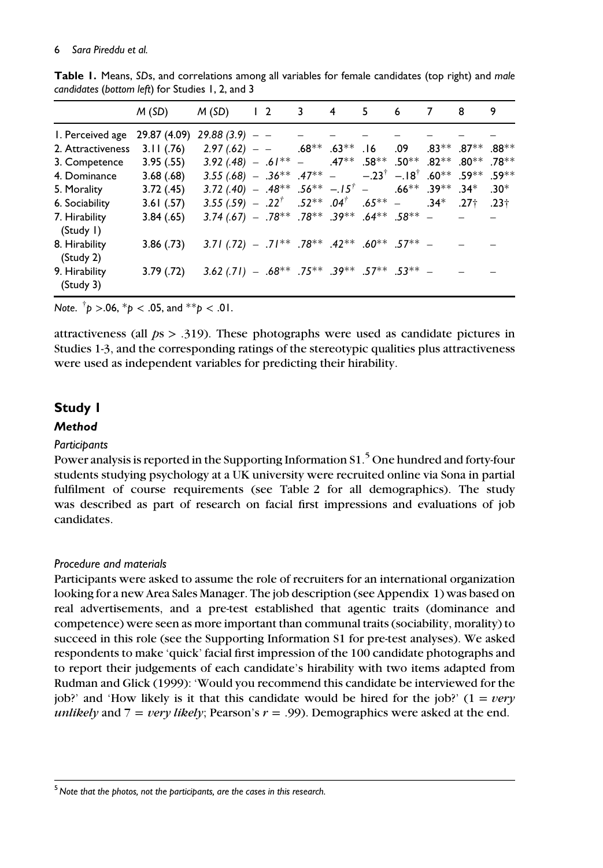#### 6 Sara Pireddu et al.

|                            | M (SD)                           | $M(SD)$ 1 2 3 4                                                                                                                         |  |  | 56 | $\overline{7}$ | 8                        | 9 |
|----------------------------|----------------------------------|-----------------------------------------------------------------------------------------------------------------------------------------|--|--|----|----------------|--------------------------|---|
| I. Perceived age           | $29.87(4.09)$ $29.88(3.9)$ - - - |                                                                                                                                         |  |  |    |                |                          |   |
| 2. Attractiveness          |                                  | 3.11 (.76) $2.97(.62)$ - - $-$ .68 <sup>**</sup> 63 <sup>**</sup> .16 .09 .83 <sup>**</sup> .88 <sup>**</sup>                           |  |  |    |                |                          |   |
| 3. Competence              |                                  | 3.95 $(0.55)$ 3.92 $(.48)$ - $.61^{**}$ - $.47^{**}$ $.58^{**}$ $.50^{**}$ $.82^{**}$ $.80^{**}$ $.78^{**}$                             |  |  |    |                |                          |   |
| 4. Dominance               | 3.68 (.68)                       | 3.55 (.68) - .36** .47** - -.23 <sup>†</sup> -.18 <sup>†</sup> .60** .59** .59**                                                        |  |  |    |                |                          |   |
| 5. Morality                | 3.72 (.45)                       | 3.72 (.40) - $.48^{**}$ $.56^{**}$ - $.15^{+}$ - $.66^{**}$ $.39^{**}$ $.34^{*}$ $.30^{*}$                                              |  |  |    |                |                          |   |
| 6. Sociability             | 3.61(0.57)                       | 3.55 (.59) - .22 <sup>†</sup> .52 <sup>**</sup> .04 <sup>†</sup> .65 <sup>**</sup> - .34 <sup>*</sup> .23 <sup>†</sup> .23 <sup>†</sup> |  |  |    |                |                          |   |
| 7. Hirability<br>(Study I) | 3.84(.65)                        | $3.74(.67) - .78***$ .78 <sup>**</sup> .39 <sup>**</sup> .64 <sup>**</sup> .58 <sup>**</sup> -                                          |  |  |    |                | <b>Contract Contract</b> |   |
| 8. Hirability<br>(Study 2) |                                  | 3.86 (.73) 3.71 (.72) - .71** .78** .42** .60** .57** -                                                                                 |  |  |    |                |                          |   |
| 9. Hirability<br>(Study 3) |                                  | 3.79 (.72) 3.62 (.71) - .68** .75** .39** .57** .53** -                                                                                 |  |  |    |                |                          |   |

Table 1. Means, SDs, and correlations among all variables for female candidates (top right) and male candidates (bottom left) for Studies 1, 2, and 3

Note.  $\phi$  >.06,  $^{\ast}p$  < .05, and  $^{\ast\ast}p$  < .01.

attractiveness (all  $ps > .319$ ). These photographs were used as candidate pictures in Studies 1-3, and the corresponding ratings of the stereotypic qualities plus attractiveness were used as independent variables for predicting their hirability.

# Study 1

# **Method**

# **Participants**

Power analysis is reported in the Supporting Information S1.<sup>5</sup> One hundred and forty-four students studying psychology at a UK university were recruited online via Sona in partial fulfilment of course requirements (see Table 2 for all demographics). The study was described as part of research on facial first impressions and evaluations of job candidates.

# Procedure and materials

Participants were asked to assume the role of recruiters for an international organization looking for a new Area Sales Manager. The job description (see Appendix 1) was based on real advertisements, and a pre-test established that agentic traits (dominance and competence) were seen as more important than communal traits (sociability, morality) to succeed in this role (see the Supporting Information S1 for pre-test analyses). We asked respondents to make 'quick' facial first impression of the 100 candidate photographs and to report their judgements of each candidate's hirability with two items adapted from Rudman and Glick (1999): 'Would you recommend this candidate be interviewed for the job?' and 'How likely is it that this candidate would be hired for the job?' ( $1 = \text{very}$ ) unlikely and  $7 = \text{very likely}$ ; Pearson's  $r = .99$ ). Demographics were asked at the end.

 $<sup>5</sup>$  Note that the photos, not the participants, are the cases in this research.</sup>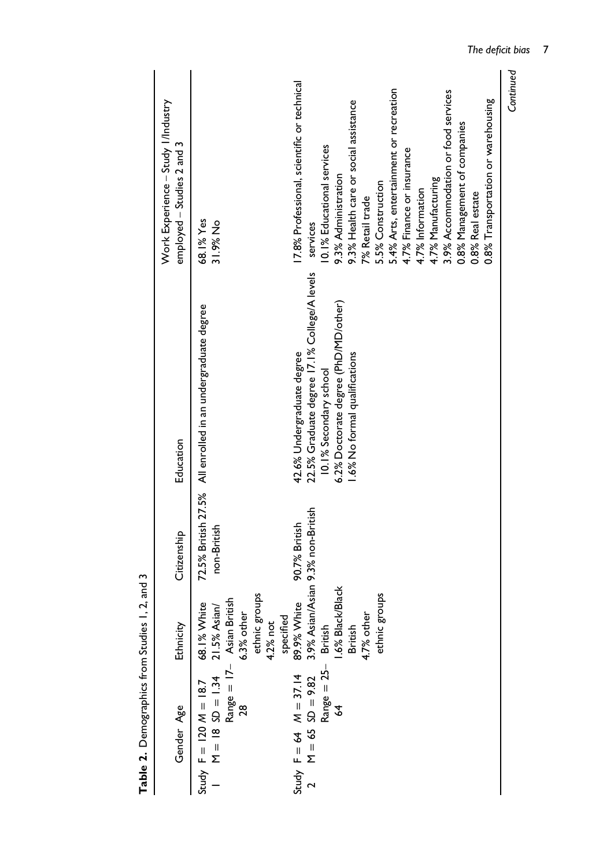| Gender Age                                                                                                           | Ethnicity                                 | Citizenship   | Education                                                   | Work Experience - Study I/Industry<br>employed - Studies 2 and 3 |
|----------------------------------------------------------------------------------------------------------------------|-------------------------------------------|---------------|-------------------------------------------------------------|------------------------------------------------------------------|
| Study $F = 120 M = 18.7$ 68.1% White<br>1 M = 18 SD = 1.34 21.5% Asian/<br>Range = 17 Asian British<br>28 6.3% other | stonbs<br>specified<br>4.2% not<br>ethnic | non-British   | 72.5% British 27.5% All enrolled in an undergraduate degree | 68.1% Yes<br>31.9% No                                            |
|                                                                                                                      | 89.9% White                               | 90.7% British | 42.6% Undergraduate degree                                  | 17.8% Professional, scientific or technical                      |
| Study F = 64 M = 37.14 8<br>2 M = 65 SD = 9.82 3<br>Range = 25                                                       | 3.9% Asian/Asian 9.3% non-British         |               | 22.5% Graduate degree 17.1% College/A levels                | services                                                         |
|                                                                                                                      | British                                   |               | 10.1% Secondary school                                      | 10.1% Educational services                                       |
| 3                                                                                                                    | 1.6% Black/Black                          |               | 6.2% Doctorate degree (PhD/MD/other)                        | 9.3% Administration                                              |
|                                                                                                                      | British                                   |               | 1.6% No formal qualifications                               | 9.3% Health care or social assistance                            |
|                                                                                                                      | 4.7% other                                |               |                                                             | 7% Retail trade                                                  |
|                                                                                                                      | sdnou <sup>g</sup><br>ethnic              |               |                                                             | 5.5% Construction                                                |
|                                                                                                                      |                                           |               |                                                             | 5.4% Arts, entertainment or recreation                           |
|                                                                                                                      |                                           |               |                                                             | 4.7% Finance or insurance                                        |
|                                                                                                                      |                                           |               |                                                             | 4.7% Information                                                 |
|                                                                                                                      |                                           |               |                                                             | 4.7% Manufacturing                                               |
|                                                                                                                      |                                           |               |                                                             | 3.9% Accommodation or food services                              |
|                                                                                                                      |                                           |               |                                                             | 0.8% Management of companies                                     |
|                                                                                                                      |                                           |               |                                                             | 0.8% Real estate                                                 |
|                                                                                                                      |                                           |               |                                                             | 0.8% Transportation or warehousing                               |

Table 2. Demographics from Studies 1, 2, and 3 Table 2. Demographics from Studies 1, 2, and 3

Continued

Continued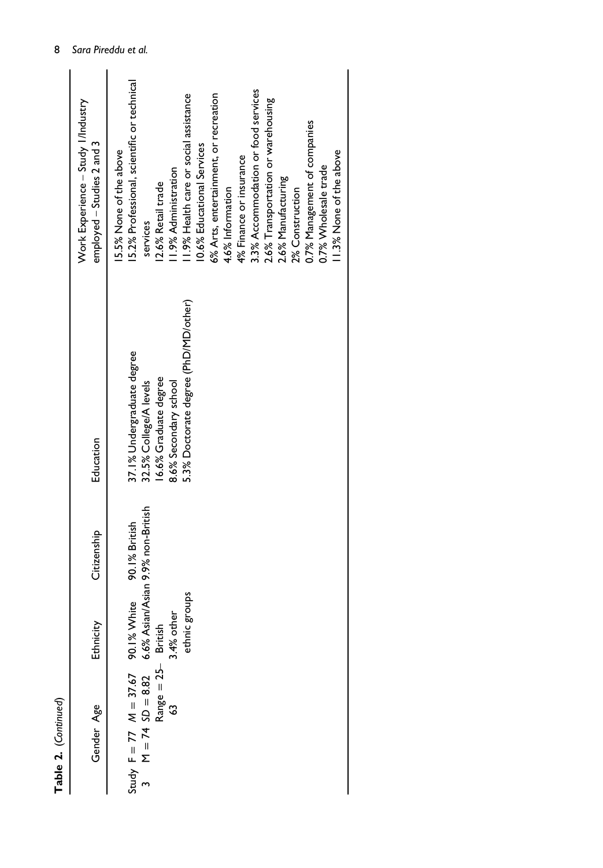| Table 2. (Continued)                                                                                                |               |                                                    |                                                                                                                                                |                                                                                                                                                                                                                                                                                                                                                                                                                                                                                                        |
|---------------------------------------------------------------------------------------------------------------------|---------------|----------------------------------------------------|------------------------------------------------------------------------------------------------------------------------------------------------|--------------------------------------------------------------------------------------------------------------------------------------------------------------------------------------------------------------------------------------------------------------------------------------------------------------------------------------------------------------------------------------------------------------------------------------------------------------------------------------------------------|
| Gender Age                                                                                                          | Ethnicity     | Citizenship                                        | Education                                                                                                                                      | Work Experience - Study I/Industry<br>employed - Studies 2 and 3                                                                                                                                                                                                                                                                                                                                                                                                                                       |
| Study F = 77 $M = 37.67$ 90.1% White<br>3 $M = 74$ SD = 8.82 6.6% Asian/Asi<br>Range = 25- British<br>63 3.4% other | ethnic groups | 6.6% Asian/Asian 9.9% non-British<br>90.1% British | 5.3% Doctorate degree (PhD/MD/other)<br>37.1% Undergraduate degree<br>16.6% Graduate degree<br>8.6% Secondary school<br>32.5% College/A levels | 5.2% Professional, scientific or technical<br>3.3% Accommodation or food services<br>1.9% Health care or social assistance<br>6% Arts, entertainment, or recreation<br>2.6% Transportation or warehousing<br>0.7% Management of companies<br>10.6% Educational Services<br>15.5% None of the above<br>11.3% None of the above<br>4% Finance or insurance<br>0.7% Wholesale trade<br>1.9% Administration<br>2.6% Manufacturing<br>12.6% Retail trade<br>4.6% Information<br>2% Construction<br>services |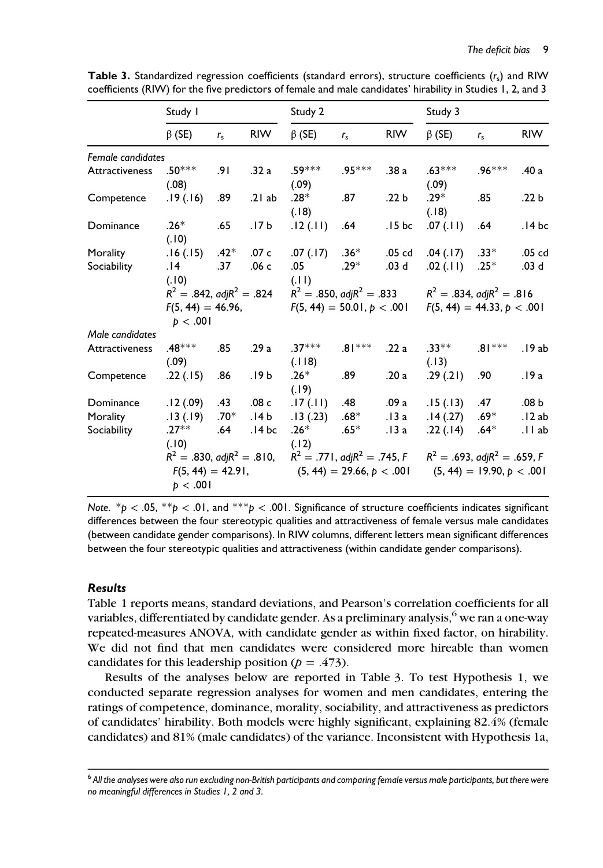|                   | Study I                                                              |             |                  | Study 2                             |                             |                   | Study 3                             |                             |                  |
|-------------------|----------------------------------------------------------------------|-------------|------------------|-------------------------------------|-----------------------------|-------------------|-------------------------------------|-----------------------------|------------------|
|                   | $\beta$ (SE)                                                         | $r_{\rm s}$ | <b>RIW</b>       | $\beta$ (SE)                        | $r_{\rm s}$                 | <b>RIW</b>        | $\beta$ (SE)                        | $r_{\rm s}$                 | <b>RIW</b>       |
| Female candidates |                                                                      |             |                  |                                     |                             |                   |                                     |                             |                  |
| Attractiveness    | $.50***$<br>(0.08)                                                   | .91         | .32a             | $.59***$<br>(.09)                   | $.95***$                    | .38 a             | $.63***$<br>(.09)                   | $.96***$                    | .40 a            |
| Competence        | .19 (.16)                                                            | .89         | .21ab            | $.28*$<br>(.18)                     | .87                         | .22 <sub>b</sub>  | $.29*$<br>(.18)                     | .85                         | .22 <sub>b</sub> |
| Dominance         | $.26*$<br>(.10)                                                      | .65         | .17 <sub>b</sub> | .12(.11)                            | .64                         | .15bc             | .07(11)                             | .64                         | .14bc            |
| Morality          | .16(.15)                                                             | $.42*$      | .07 c            | .07(.17)                            | $.36*$                      | .05 <sub>cd</sub> | .04(.17)                            | $.33*$                      | .05 cd           |
| Sociability       | 14.<br>(.10)                                                         | .37         | .06 <sub>c</sub> | .05<br>(.11)                        | $.29*$                      | .03 <sub>d</sub>  | .02(.11)                            | $.25*$                      | .03 <sub>d</sub> |
|                   | $R^2 = .842$ , adj $R^2 = .824$                                      |             |                  | $R^2 = .850$ , adj $R^2 = .833$     |                             |                   | $R^2 = .834$ , adj $R^2 = .816$     |                             |                  |
|                   | $F(5, 44) = 46.96,$<br>p < .001                                      |             |                  | $F(5, 44) = 50.01, p < .001$        |                             |                   | $F(5, 44) = 44.33, p < .001$        |                             |                  |
| Male candidates   |                                                                      |             |                  |                                     |                             |                   |                                     |                             |                  |
| Attractiveness    | $.48***$<br>(.09)                                                    | .85         | .29a             | $.37***$<br>(.118)                  | $.81***$                    | .22a              | $.33***$<br>(.13)                   | $.81***$                    | .19ab            |
| Competence        | .22(.15)                                                             | .86         | .19b             | $.26*$<br>(.19)                     | .89                         | .20a              | .29(.21)                            | .90                         | .19 a            |
| Dominance         | .12(.09)                                                             | .43         | .08 <sub>c</sub> | .17(.11)                            | .48                         | .09a              | .15(.13)                            | .47                         | .08 <sub>b</sub> |
| Morality          | .13(.19)                                                             | $.70*$      | .I4 b            | .13(.23)                            | .68 $^\ast$                 | .13a              | .14(.27)                            | $.69*$                      | .12ab            |
| Sociability       | $.27**$<br>(.10)                                                     | .64         | .14 bc           | $.26*$<br>(.12)                     | $.65*$                      | .13a              | .22(.14)                            | $.64*$                      | .llab            |
|                   | $R^2 = .830$ , adj $R^2 = .810$ ,<br>$F(5, 44) = 42.91,$<br>p < .001 |             |                  | $R^2 = .771$ , adj $R^2 = .745$ , F | $(5, 44) = 29.66, p < .001$ |                   | $R^2 = .693$ , adj $R^2 = .659$ , F | $(5, 44) = 19.90, p < .001$ |                  |

**Table 3.** Standardized regression coefficients (standard errors), structure coefficients  $(r_s)$  and RIW coefficients (RIW) for the five predictors of female and male candidates' hirability in Studies 1, 2, and 3

Note.  $*$ *p* < .05,  $*$  $*$ *p* < .01, and  $*$  $*$  $*$ *p* < .001. Significance of structure coefficients indicates significant differences between the four stereotypic qualities and attractiveness of female versus male candidates (between candidate gender comparisons). In RIW columns, different letters mean significant differences between the four stereotypic qualities and attractiveness (within candidate gender comparisons).

#### Results

Table 1 reports means, standard deviations, and Pearson's correlation coefficients for all variables, differentiated by candidate gender. As a preliminary analysis, $^6$  we ran a one-way repeated-measures ANOVA, with candidate gender as within fixed factor, on hirability. We did not find that men candidates were considered more hireable than women candidates for this leadership position ( $p = .473$ ).

Results of the analyses below are reported in Table 3. To test Hypothesis 1, we conducted separate regression analyses for women and men candidates, entering the ratings of competence, dominance, morality, sociability, and attractiveness as predictors of candidates' hirability. Both models were highly significant, explaining 82.4% (female candidates) and 81% (male candidates) of the variance. Inconsistent with Hypothesis 1a,

<sup>&</sup>lt;sup>6</sup> All the analyses were also run excluding non-British participants and comparing female versus male participants, but there were no meaningful differences in Studies 1, 2 and 3.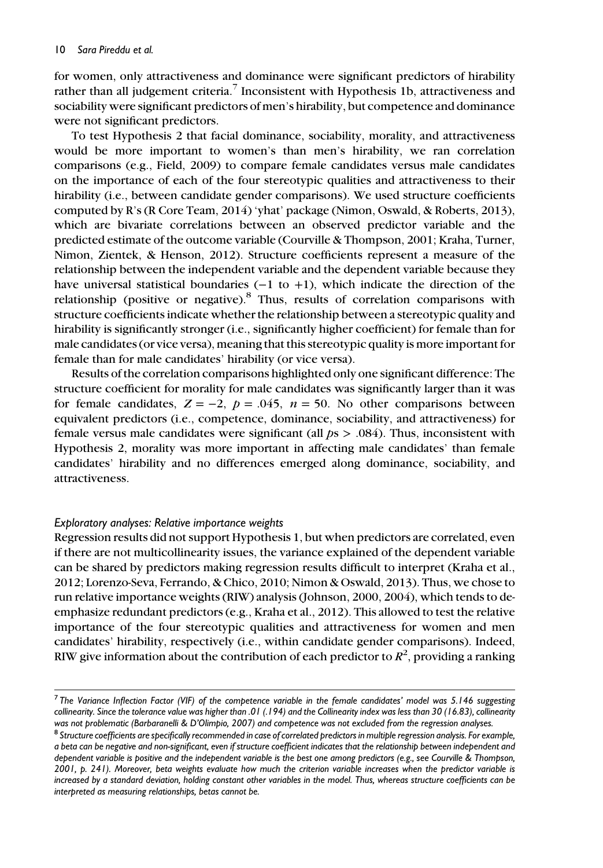for women, only attractiveness and dominance were significant predictors of hirability rather than all judgement criteria.<sup>7</sup> Inconsistent with Hypothesis 1b, attractiveness and sociability were significant predictors of men's hirability, but competence and dominance were not significant predictors.

To test Hypothesis 2 that facial dominance, sociability, morality, and attractiveness would be more important to women's than men's hirability, we ran correlation comparisons (e.g., Field, 2009) to compare female candidates versus male candidates on the importance of each of the four stereotypic qualities and attractiveness to their hirability (i.e., between candidate gender comparisons). We used structure coefficients computed by R's (R Core Team, 2014) 'yhat' package (Nimon, Oswald, & Roberts, 2013), which are bivariate correlations between an observed predictor variable and the predicted estimate of the outcome variable (Courville & Thompson, 2001; Kraha, Turner, Nimon, Zientek, & Henson, 2012). Structure coefficients represent a measure of the relationship between the independent variable and the dependent variable because they have universal statistical boundaries (−1 to +1), which indicate the direction of the relationship (positive or negative). $8$  Thus, results of correlation comparisons with structure coefficients indicate whether the relationship between a stereotypic quality and hirability is significantly stronger (i.e., significantly higher coefficient) for female than for male candidates (or vice versa), meaning that this stereotypic quality is more important for female than for male candidates' hirability (or vice versa).

Results of the correlation comparisons highlighted only one significant difference: The structure coefficient for morality for male candidates was significantly larger than it was for female candidates,  $Z = -2$ ,  $p = .045$ ,  $n = 50$ . No other comparisons between equivalent predictors (i.e., competence, dominance, sociability, and attractiveness) for female versus male candidates were significant (all  $ps > .084$ ). Thus, inconsistent with Hypothesis 2, morality was more important in affecting male candidates' than female candidates' hirability and no differences emerged along dominance, sociability, and attractiveness.

#### Exploratory analyses: Relative importance weights

Regression results did not support Hypothesis 1, but when predictors are correlated, even if there are not multicollinearity issues, the variance explained of the dependent variable can be shared by predictors making regression results difficult to interpret (Kraha et al., 2012; Lorenzo-Seva, Ferrando, & Chico, 2010; Nimon & Oswald, 2013). Thus, we chose to run relative importance weights (RIW) analysis (Johnson, 2000, 2004), which tends to deemphasize redundant predictors (e.g., Kraha et al., 2012). This allowed to test the relative importance of the four stereotypic qualities and attractiveness for women and men candidates' hirability, respectively (i.e., within candidate gender comparisons). Indeed, RIW give information about the contribution of each predictor to  $R^2$ , providing a ranking

 $<sup>7</sup>$  The Variance Inflection Factor (VIF) of the competence variable in the female candidates' model was 5.146 suggesting</sup> collinearity. Since the tolerance value was higher than .01 (.194) and the Collinearity index was less than 30 (16.83), collinearity was not problematic (Barbaranelli & D'Olimpio, 2007) and competence was not excluded from the regression analyses.

<sup>&</sup>lt;sup>8</sup> Structure coefficients are specifically recommended in case of correlated predictors in multiple regression analysis. For example, a beta can be negative and non-significant, even if structure coefficient indicates that the relationship between independent and dependent variable is positive and the independent variable is the best one among predictors (e.g., see Courville & Thompson, 2001, p. 241). Moreover, beta weights evaluate how much the criterion variable increases when the predictor variable is increased by a standard deviation, holding constant other variables in the model. Thus, whereas structure coefficients can be interpreted as measuring relationships, betas cannot be.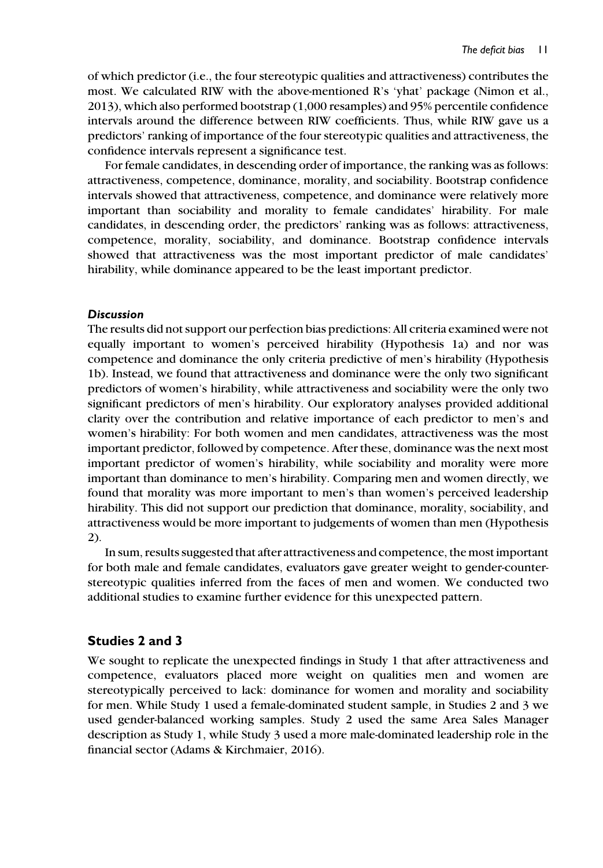of which predictor (i.e., the four stereotypic qualities and attractiveness) contributes the most. We calculated RIW with the above-mentioned R's 'yhat' package (Nimon et al., 2013), which also performed bootstrap (1,000 resamples) and 95% percentile confidence intervals around the difference between RIW coefficients. Thus, while RIW gave us a predictors' ranking of importance of the four stereotypic qualities and attractiveness, the confidence intervals represent a significance test.

For female candidates, in descending order of importance, the ranking was as follows: attractiveness, competence, dominance, morality, and sociability. Bootstrap confidence intervals showed that attractiveness, competence, and dominance were relatively more important than sociability and morality to female candidates' hirability. For male candidates, in descending order, the predictors' ranking was as follows: attractiveness, competence, morality, sociability, and dominance. Bootstrap confidence intervals showed that attractiveness was the most important predictor of male candidates' hirability, while dominance appeared to be the least important predictor.

#### **Discussion**

The results did not support our perfection bias predictions: All criteria examined were not equally important to women's perceived hirability (Hypothesis 1a) and nor was competence and dominance the only criteria predictive of men's hirability (Hypothesis 1b). Instead, we found that attractiveness and dominance were the only two significant predictors of women's hirability, while attractiveness and sociability were the only two significant predictors of men's hirability. Our exploratory analyses provided additional clarity over the contribution and relative importance of each predictor to men's and women's hirability: For both women and men candidates, attractiveness was the most important predictor, followed by competence. After these, dominance was the next most important predictor of women's hirability, while sociability and morality were more important than dominance to men's hirability. Comparing men and women directly, we found that morality was more important to men's than women's perceived leadership hirability. This did not support our prediction that dominance, morality, sociability, and attractiveness would be more important to judgements of women than men (Hypothesis 2).

In sum, results suggested that after attractiveness and competence, the most important for both male and female candidates, evaluators gave greater weight to gender-counterstereotypic qualities inferred from the faces of men and women. We conducted two additional studies to examine further evidence for this unexpected pattern.

# Studies 2 and 3

We sought to replicate the unexpected findings in Study 1 that after attractiveness and competence, evaluators placed more weight on qualities men and women are stereotypically perceived to lack: dominance for women and morality and sociability for men. While Study 1 used a female-dominated student sample, in Studies 2 and 3 we used gender-balanced working samples. Study 2 used the same Area Sales Manager description as Study 1, while Study 3 used a more male-dominated leadership role in the financial sector (Adams & Kirchmaier, 2016).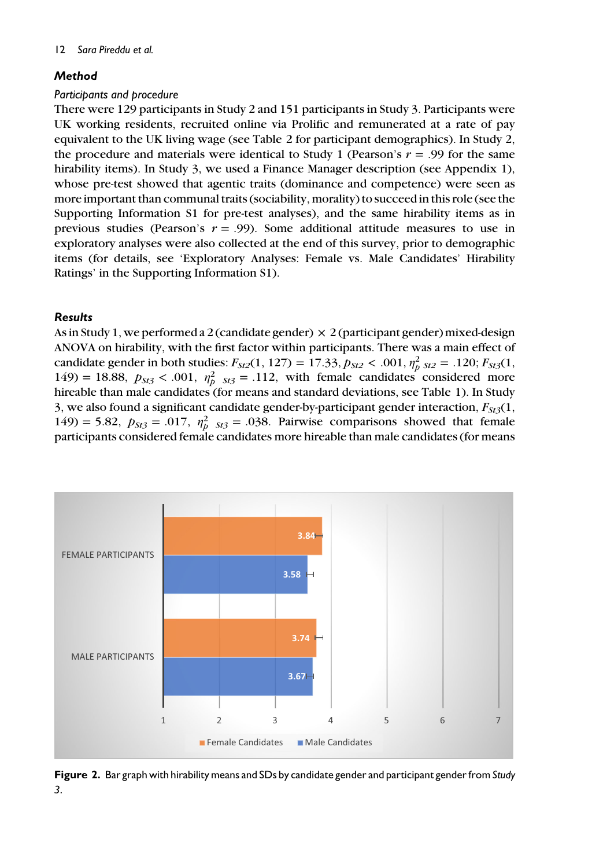# **Method**

## Participants and procedure

There were 129 participants in Study 2 and 151 participants in Study 3. Participants were UK working residents, recruited online via Prolific and remunerated at a rate of pay equivalent to the UK living wage (see Table 2 for participant demographics). In Study 2, the procedure and materials were identical to Study 1 (Pearson's  $r = .99$  for the same hirability items). In Study 3, we used a Finance Manager description (see Appendix 1), whose pre-test showed that agentic traits (dominance and competence) were seen as more important than communal traits (sociability, morality) to succeed in this role (see the Supporting Information S1 for pre-test analyses), and the same hirability items as in previous studies (Pearson's  $r = .99$ ). Some additional attitude measures to use in exploratory analyses were also collected at the end of this survey, prior to demographic items (for details, see 'Exploratory Analyses: Female vs. Male Candidates' Hirability Ratings' in the Supporting Information S1).

# Results

As in Study 1, we performed a 2 (candidate gender)  $\times$  2 (participant gender) mixed-design ANOVA on hirability, with the first factor within participants. There was a main effect of candidate gender in both studies:  $F_{St2}(1, 127) = 17.33, p_{St2} < .001, \eta_p^2_{St2} = .120; F_{St3}(1, 127)$ 149) = 18.88,  $p_{St3}$  < .001,  $\eta_p^2$   $_{St3}$  = .112, with female candidates considered more hireable than male candidates (for means and standard deviations, see Table 1). In Study 3, we also found a significant candidate gender-by-participant gender interaction,  $F_{5t3}(1)$ , 149) = 5.82,  $p_{St3} = .017$ ,  $\eta_p^2$   $_{St3} = .038$ . Pairwise comparisons showed that female participants considered female candidates more hireable than male candidates (for means



Figure 2. Bar graph with hirability means and SDs by candidate gender and participant gender from Study 3.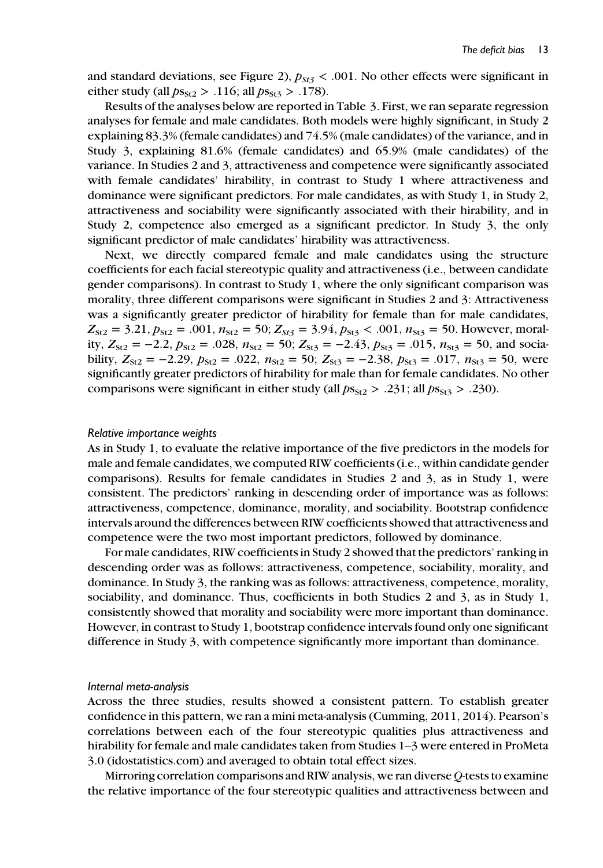and standard deviations, see Figure 2),  $p_{St3}$  < .001. No other effects were significant in either study (all  $ps_{St2} > .116$ ; all  $ps_{St3} > .178$ ).

Results of the analyses below are reported in Table 3. First, we ran separate regression analyses for female and male candidates. Both models were highly significant, in Study 2 explaining 83.3% (female candidates) and 74.5% (male candidates) of the variance, and in Study 3, explaining 81.6% (female candidates) and 65.9% (male candidates) of the variance. In Studies 2 and 3, attractiveness and competence were significantly associated with female candidates' hirability, in contrast to Study 1 where attractiveness and dominance were significant predictors. For male candidates, as with Study 1, in Study 2, attractiveness and sociability were significantly associated with their hirability, and in Study 2, competence also emerged as a significant predictor. In Study 3, the only significant predictor of male candidates' hirability was attractiveness.

Next, we directly compared female and male candidates using the structure coefficients for each facial stereotypic quality and attractiveness (i.e., between candidate gender comparisons). In contrast to Study 1, where the only significant comparison was morality, three different comparisons were significant in Studies 2 and 3: Attractiveness was a significantly greater predictor of hirability for female than for male candidates,  $Z_{St2} = 3.21, p_{St2} = .001, n_{St2} = 50; Z_{St3} = 3.94, p_{St3} < .001, n_{St3} = 50$ . However, morality,  $Z_{St2} = -2.2$ ,  $p_{St2} = .028$ ,  $n_{St2} = 50$ ;  $Z_{St3} = -2.43$ ,  $p_{St3} = .015$ ,  $n_{St3} = 50$ , and sociability,  $Z_{St2} = -2.29$ ,  $p_{St2} = .022$ ,  $n_{St2} = 50$ ;  $Z_{St3} = -2.38$ ,  $p_{St3} = .017$ ,  $n_{St3} = 50$ , were significantly greater predictors of hirability for male than for female candidates. No other comparisons were significant in either study (all  $ps_{St2} > .231$ ; all  $ps_{St3} > .230$ ).

#### Relative importance weights

As in Study 1, to evaluate the relative importance of the five predictors in the models for male and female candidates, we computed RIW coefficients (i.e., within candidate gender comparisons). Results for female candidates in Studies 2 and 3, as in Study 1, were consistent. The predictors' ranking in descending order of importance was as follows: attractiveness, competence, dominance, morality, and sociability. Bootstrap confidence intervals around the differences between RIW coefficients showed that attractiveness and competence were the two most important predictors, followed by dominance.

For male candidates, RIW coefficients in Study 2 showed that the predictors' ranking in descending order was as follows: attractiveness, competence, sociability, morality, and dominance. In Study 3, the ranking was as follows: attractiveness, competence, morality, sociability, and dominance. Thus, coefficients in both Studies 2 and 3, as in Study 1, consistently showed that morality and sociability were more important than dominance. However, in contrast to Study 1, bootstrap confidence intervals found only one significant difference in Study 3, with competence significantly more important than dominance.

#### Internal meta-analysis

Across the three studies, results showed a consistent pattern. To establish greater confidence in this pattern, we ran a mini meta-analysis (Cumming, 2011, 2014). Pearson's correlations between each of the four stereotypic qualities plus attractiveness and hirability for female and male candidates taken from Studies 1–3 were entered in ProMeta 3.0 (idostatistics.com) and averaged to obtain total effect sizes.

Mirroring correlation comparisons and RIW analysis, we ran diverse Q-tests to examine the relative importance of the four stereotypic qualities and attractiveness between and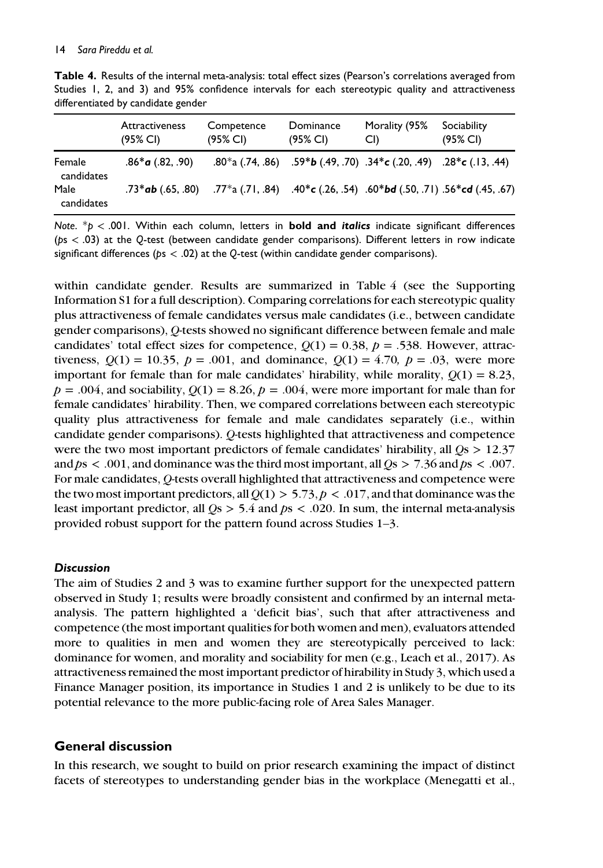|                                    |  |  |  |  | <b>Table 4.</b> Results of the internal meta-analysis: total effect sizes (Pearson's correlations averaged from |  |  |
|------------------------------------|--|--|--|--|-----------------------------------------------------------------------------------------------------------------|--|--|
|                                    |  |  |  |  | Studies 1, 2, and 3) and 95% confidence intervals for each stereotypic quality and attractiveness               |  |  |
| differentiated by candidate gender |  |  |  |  |                                                                                                                 |  |  |

|                      | <b>Attractiveness</b><br>$(95\% \text{ Cl})$ | Competence<br>(95% CI) | Dominance<br>(95% CI)                                                                                                     | Morality (95%<br>CI) | Sociability<br>$(95\% \text{ Cl})$ |
|----------------------|----------------------------------------------|------------------------|---------------------------------------------------------------------------------------------------------------------------|----------------------|------------------------------------|
| Female<br>candidates | $.86*$ a (.82, .90)                          |                        | .80*a (.74, .86) .59*b (.49, .70) .34*c (.20, .49) .28*c (.13, .44)                                                       |                      |                                    |
| Male<br>candidates   | $.73*$ ab (.65, .80)                         |                        | .77 <sup>*</sup> a (.71, .84) .40 <sup>*</sup> c (.26, .54) .60 <sup>*</sup> bd (.50, .71) .56 <sup>*</sup> cd (.45, .67) |                      |                                    |

Note.  $p > 001$ . Within each column, letters in **bold and italics** indicate significant differences (ps < .03) at the Q-test (between candidate gender comparisons). Different letters in row indicate significant differences ( $ps < .02$ ) at the Q-test (within candidate gender comparisons).

within candidate gender. Results are summarized in Table 4 (see the Supporting Information S1 for a full description). Comparing correlations for each stereotypic quality plus attractiveness of female candidates versus male candidates (i.e., between candidate gender comparisons), Q-tests showed no significant difference between female and male candidates' total effect sizes for competence,  $Q(1) = 0.38$ ,  $p = .538$ . However, attractiveness,  $Q(1) = 10.35$ ,  $p = .001$ , and dominance,  $Q(1) = 4.70$ ,  $p = .03$ , were more important for female than for male candidates' hirability, while morality,  $O(1) = 8.23$ ,  $p = .004$ , and sociability,  $Q(1) = 8.26$ ,  $p = .004$ , were more important for male than for female candidates' hirability. Then, we compared correlations between each stereotypic quality plus attractiveness for female and male candidates separately (i.e., within candidate gender comparisons). Q-tests highlighted that attractiveness and competence were the two most important predictors of female candidates' hirability, all  $Q_s > 12.37$ and  $ps < .001$ , and dominance was the third most important, all  $Os > 7.36$  and  $ps < .007$ . For male candidates, Q-tests overall highlighted that attractiveness and competence were the two most important predictors, all  $Q(1) > 5.73$ ,  $p < .017$ , and that dominance was the least important predictor, all  $Q_s > 5.4$  and  $ps < .020$ . In sum, the internal meta-analysis provided robust support for the pattern found across Studies 1–3.

# **Discussion**

The aim of Studies 2 and 3 was to examine further support for the unexpected pattern observed in Study 1; results were broadly consistent and confirmed by an internal metaanalysis. The pattern highlighted a 'deficit bias', such that after attractiveness and competence (the most important qualities for both women and men), evaluators attended more to qualities in men and women they are stereotypically perceived to lack: dominance for women, and morality and sociability for men (e.g., Leach et al., 2017). As attractiveness remained the most important predictor of hirability in Study 3, which used a Finance Manager position, its importance in Studies 1 and 2 is unlikely to be due to its potential relevance to the more public-facing role of Area Sales Manager.

# General discussion

In this research, we sought to build on prior research examining the impact of distinct facets of stereotypes to understanding gender bias in the workplace (Menegatti et al.,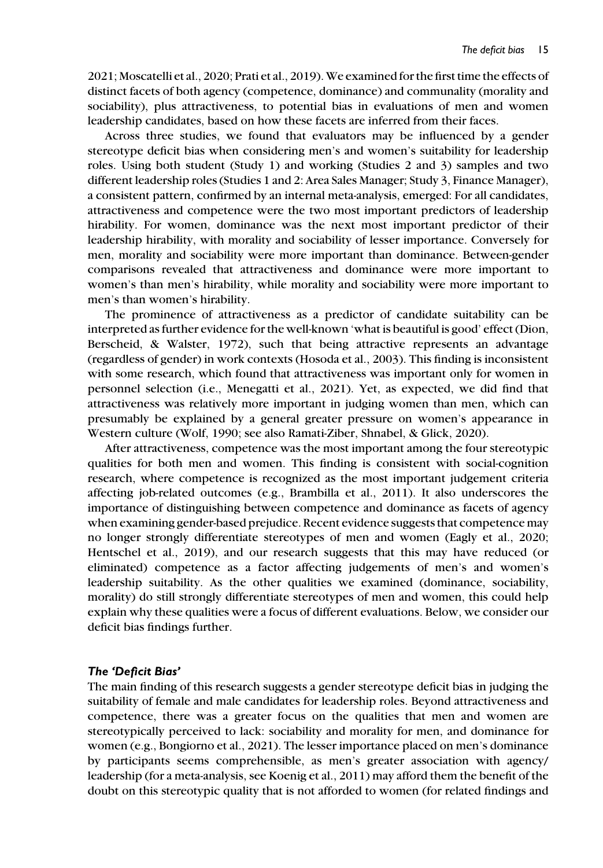2021; Moscatelli et al., 2020; Prati et al., 2019).We examined for the first time the effects of distinct facets of both agency (competence, dominance) and communality (morality and sociability), plus attractiveness, to potential bias in evaluations of men and women leadership candidates, based on how these facets are inferred from their faces.

Across three studies, we found that evaluators may be influenced by a gender stereotype deficit bias when considering men's and women's suitability for leadership roles. Using both student (Study 1) and working (Studies 2 and 3) samples and two different leadership roles (Studies 1 and 2: Area Sales Manager; Study 3, Finance Manager), a consistent pattern, confirmed by an internal meta-analysis, emerged: For all candidates, attractiveness and competence were the two most important predictors of leadership hirability. For women, dominance was the next most important predictor of their leadership hirability, with morality and sociability of lesser importance. Conversely for men, morality and sociability were more important than dominance. Between-gender comparisons revealed that attractiveness and dominance were more important to women's than men's hirability, while morality and sociability were more important to men's than women's hirability.

The prominence of attractiveness as a predictor of candidate suitability can be interpreted as further evidence for the well-known 'what is beautiful is good' effect (Dion, Berscheid, & Walster, 1972), such that being attractive represents an advantage (regardless of gender) in work contexts (Hosoda et al., 2003). This finding is inconsistent with some research, which found that attractiveness was important only for women in personnel selection (i.e., Menegatti et al., 2021). Yet, as expected, we did find that attractiveness was relatively more important in judging women than men, which can presumably be explained by a general greater pressure on women's appearance in Western culture (Wolf, 1990; see also Ramati-Ziber, Shnabel, & Glick, 2020).

After attractiveness, competence was the most important among the four stereotypic qualities for both men and women. This finding is consistent with social-cognition research, where competence is recognized as the most important judgement criteria affecting job-related outcomes (e.g., Brambilla et al., 2011). It also underscores the importance of distinguishing between competence and dominance as facets of agency when examining gender-based prejudice. Recent evidence suggests that competence may no longer strongly differentiate stereotypes of men and women (Eagly et al., 2020; Hentschel et al., 2019), and our research suggests that this may have reduced (or eliminated) competence as a factor affecting judgements of men's and women's leadership suitability. As the other qualities we examined (dominance, sociability, morality) do still strongly differentiate stereotypes of men and women, this could help explain why these qualities were a focus of different evaluations. Below, we consider our deficit bias findings further.

#### The 'Deficit Bias'

The main finding of this research suggests a gender stereotype deficit bias in judging the suitability of female and male candidates for leadership roles. Beyond attractiveness and competence, there was a greater focus on the qualities that men and women are stereotypically perceived to lack: sociability and morality for men, and dominance for women (e.g., Bongiorno et al., 2021). The lesser importance placed on men's dominance by participants seems comprehensible, as men's greater association with agency/ leadership (for a meta-analysis, see Koenig et al., 2011) may afford them the benefit of the doubt on this stereotypic quality that is not afforded to women (for related findings and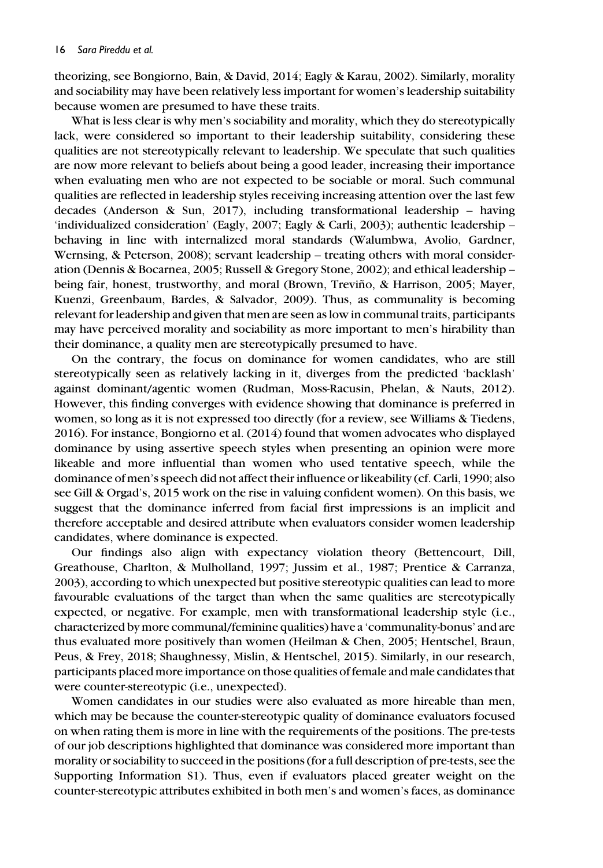theorizing, see Bongiorno, Bain, & David, 2014; Eagly & Karau, 2002). Similarly, morality and sociability may have been relatively less important for women's leadership suitability because women are presumed to have these traits.

What is less clear is why men's sociability and morality, which they do stereotypically lack, were considered so important to their leadership suitability, considering these qualities are not stereotypically relevant to leadership. We speculate that such qualities are now more relevant to beliefs about being a good leader, increasing their importance when evaluating men who are not expected to be sociable or moral. Such communal qualities are reflected in leadership styles receiving increasing attention over the last few decades (Anderson & Sun, 2017), including transformational leadership – having 'individualized consideration' (Eagly, 2007; Eagly & Carli, 2003); authentic leadership – behaving in line with internalized moral standards (Walumbwa, Avolio, Gardner, Wernsing, & Peterson, 2008); servant leadership – treating others with moral consideration (Dennis & Bocarnea, 2005; Russell & Gregory Stone, 2002); and ethical leadership – being fair, honest, trustworthy, and moral (Brown, Treviño, & Harrison, 2005; Mayer, Kuenzi, Greenbaum, Bardes, & Salvador, 2009). Thus, as communality is becoming relevant for leadership and given that men are seen as low in communal traits, participants may have perceived morality and sociability as more important to men's hirability than their dominance, a quality men are stereotypically presumed to have.

On the contrary, the focus on dominance for women candidates, who are still stereotypically seen as relatively lacking in it, diverges from the predicted 'backlash' against dominant/agentic women (Rudman, Moss-Racusin, Phelan, & Nauts, 2012). However, this finding converges with evidence showing that dominance is preferred in women, so long as it is not expressed too directly (for a review, see Williams & Tiedens, 2016). For instance, Bongiorno et al. (2014) found that women advocates who displayed dominance by using assertive speech styles when presenting an opinion were more likeable and more influential than women who used tentative speech, while the dominance of men's speech did not affect their influence or likeability (cf. Carli, 1990; also see Gill & Orgad's, 2015 work on the rise in valuing confident women). On this basis, we suggest that the dominance inferred from facial first impressions is an implicit and therefore acceptable and desired attribute when evaluators consider women leadership candidates, where dominance is expected.

Our findings also align with expectancy violation theory (Bettencourt, Dill, Greathouse, Charlton, & Mulholland, 1997; Jussim et al., 1987; Prentice & Carranza, 2003), according to which unexpected but positive stereotypic qualities can lead to more favourable evaluations of the target than when the same qualities are stereotypically expected, or negative. For example, men with transformational leadership style (i.e., characterized by more communal/feminine qualities) have a 'communality-bonus' and are thus evaluated more positively than women (Heilman & Chen, 2005; Hentschel, Braun, Peus, & Frey, 2018; Shaughnessy, Mislin, & Hentschel, 2015). Similarly, in our research, participants placed more importance on those qualities of female and male candidates that were counter-stereotypic (i.e., unexpected).

Women candidates in our studies were also evaluated as more hireable than men, which may be because the counter-stereotypic quality of dominance evaluators focused on when rating them is more in line with the requirements of the positions. The pre-tests of our job descriptions highlighted that dominance was considered more important than morality or sociability to succeed in the positions (for a full description of pre-tests, see the Supporting Information S1). Thus, even if evaluators placed greater weight on the counter-stereotypic attributes exhibited in both men's and women's faces, as dominance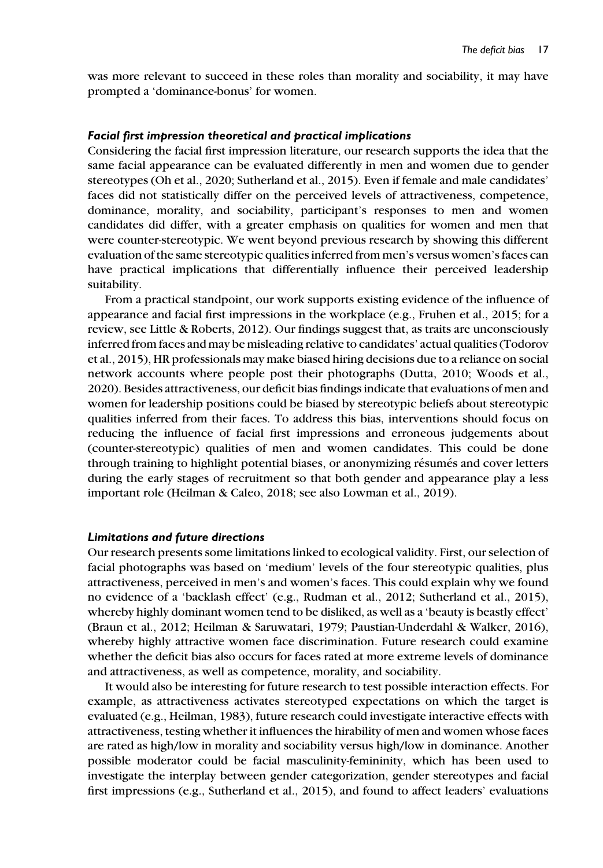was more relevant to succeed in these roles than morality and sociability, it may have prompted a 'dominance-bonus' for women.

#### Facial first impression theoretical and practical implications

Considering the facial first impression literature, our research supports the idea that the same facial appearance can be evaluated differently in men and women due to gender stereotypes (Oh et al., 2020; Sutherland et al., 2015). Even if female and male candidates' faces did not statistically differ on the perceived levels of attractiveness, competence, dominance, morality, and sociability, participant's responses to men and women candidates did differ, with a greater emphasis on qualities for women and men that were counter-stereotypic. We went beyond previous research by showing this different evaluation of the same stereotypic qualities inferred from men's versus women's faces can have practical implications that differentially influence their perceived leadership suitability.

From a practical standpoint, our work supports existing evidence of the influence of appearance and facial first impressions in the workplace (e.g., Fruhen et al., 2015; for a review, see Little & Roberts, 2012). Our findings suggest that, as traits are unconsciously inferred from faces and may be misleading relative to candidates' actual qualities (Todorov et al., 2015), HR professionals may make biased hiring decisions due to a reliance on social network accounts where people post their photographs (Dutta, 2010; Woods et al., 2020). Besides attractiveness, our deficit bias findings indicate that evaluations of men and women for leadership positions could be biased by stereotypic beliefs about stereotypic qualities inferred from their faces. To address this bias, interventions should focus on reducing the influence of facial first impressions and erroneous judgements about (counter-stereotypic) qualities of men and women candidates. This could be done through training to highlight potential biases, or anonymizing résumés and cover letters during the early stages of recruitment so that both gender and appearance play a less important role (Heilman & Caleo, 2018; see also Lowman et al., 2019).

#### Limitations and future directions

Our research presents some limitations linked to ecological validity. First, our selection of facial photographs was based on 'medium' levels of the four stereotypic qualities, plus attractiveness, perceived in men's and women's faces. This could explain why we found no evidence of a 'backlash effect' (e.g., Rudman et al., 2012; Sutherland et al., 2015), whereby highly dominant women tend to be disliked, as well as a 'beauty is beastly effect' (Braun et al., 2012; Heilman & Saruwatari, 1979; Paustian-Underdahl & Walker, 2016), whereby highly attractive women face discrimination. Future research could examine whether the deficit bias also occurs for faces rated at more extreme levels of dominance and attractiveness, as well as competence, morality, and sociability.

It would also be interesting for future research to test possible interaction effects. For example, as attractiveness activates stereotyped expectations on which the target is evaluated (e.g., Heilman, 1983), future research could investigate interactive effects with attractiveness, testing whether it influences the hirability of men and women whose faces are rated as high/low in morality and sociability versus high/low in dominance. Another possible moderator could be facial masculinity-femininity, which has been used to investigate the interplay between gender categorization, gender stereotypes and facial first impressions (e.g., Sutherland et al., 2015), and found to affect leaders' evaluations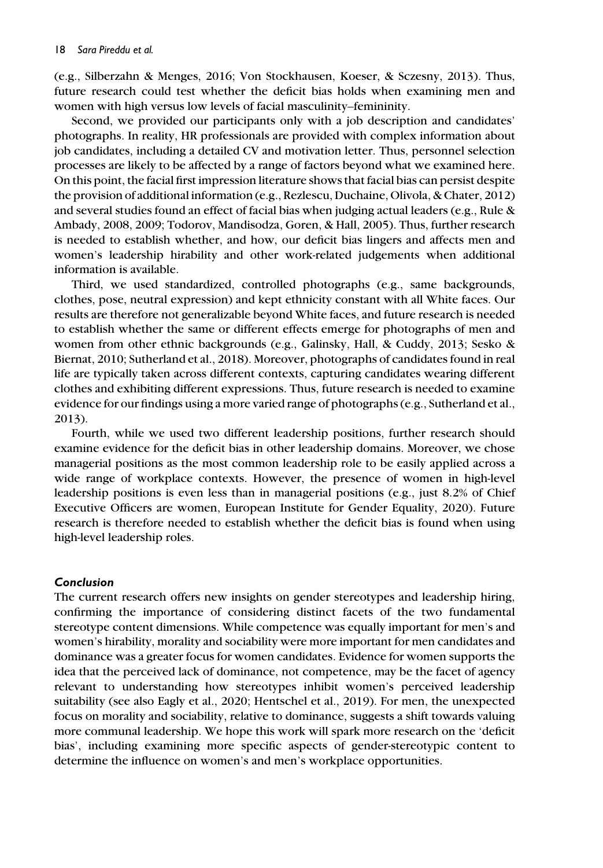(e.g., Silberzahn & Menges, 2016; Von Stockhausen, Koeser, & Sczesny, 2013). Thus, future research could test whether the deficit bias holds when examining men and women with high versus low levels of facial masculinity–femininity.

Second, we provided our participants only with a job description and candidates' photographs. In reality, HR professionals are provided with complex information about job candidates, including a detailed CV and motivation letter. Thus, personnel selection processes are likely to be affected by a range of factors beyond what we examined here. On this point, the facial first impression literature shows that facial bias can persist despite the provision of additional information (e.g., Rezlescu, Duchaine, Olivola, & Chater, 2012) and several studies found an effect of facial bias when judging actual leaders (e.g., Rule & Ambady, 2008, 2009; Todorov, Mandisodza, Goren, & Hall, 2005). Thus, further research is needed to establish whether, and how, our deficit bias lingers and affects men and women's leadership hirability and other work-related judgements when additional information is available.

Third, we used standardized, controlled photographs (e.g., same backgrounds, clothes, pose, neutral expression) and kept ethnicity constant with all White faces. Our results are therefore not generalizable beyond White faces, and future research is needed to establish whether the same or different effects emerge for photographs of men and women from other ethnic backgrounds (e.g., Galinsky, Hall, & Cuddy, 2013; Sesko & Biernat, 2010; Sutherland et al., 2018). Moreover, photographs of candidates found in real life are typically taken across different contexts, capturing candidates wearing different clothes and exhibiting different expressions. Thus, future research is needed to examine evidence for our findings using a more varied range of photographs (e.g., Sutherland et al., 2013).

Fourth, while we used two different leadership positions, further research should examine evidence for the deficit bias in other leadership domains. Moreover, we chose managerial positions as the most common leadership role to be easily applied across a wide range of workplace contexts. However, the presence of women in high-level leadership positions is even less than in managerial positions (e.g., just 8.2% of Chief Executive Officers are women, European Institute for Gender Equality, 2020). Future research is therefore needed to establish whether the deficit bias is found when using high-level leadership roles.

#### Conclusion

The current research offers new insights on gender stereotypes and leadership hiring, confirming the importance of considering distinct facets of the two fundamental stereotype content dimensions. While competence was equally important for men's and women's hirability, morality and sociability were more important for men candidates and dominance was a greater focus for women candidates. Evidence for women supports the idea that the perceived lack of dominance, not competence, may be the facet of agency relevant to understanding how stereotypes inhibit women's perceived leadership suitability (see also Eagly et al., 2020; Hentschel et al., 2019). For men, the unexpected focus on morality and sociability, relative to dominance, suggests a shift towards valuing more communal leadership. We hope this work will spark more research on the 'deficit bias', including examining more specific aspects of gender-stereotypic content to determine the influence on women's and men's workplace opportunities.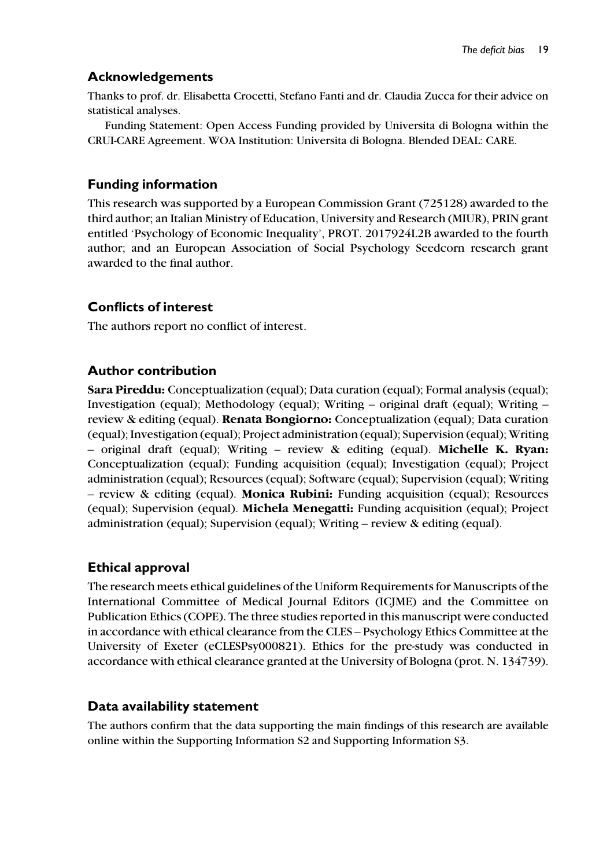# Acknowledgements

Thanks to prof. dr. Elisabetta Crocetti, Stefano Fanti and dr. Claudia Zucca for their advice on statistical analyses.

Funding Statement: Open Access Funding provided by Universita di Bologna within the CRUI-CARE Agreement. WOA Institution: Universita di Bologna. Blended DEAL: CARE.

# Funding information

This research was supported by a European Commission Grant (725128) awarded to the third author; an Italian Ministry of Education, University and Research (MIUR), PRIN grant entitled 'Psychology of Economic Inequality', PROT. 2017924L2B awarded to the fourth author; and an European Association of Social Psychology Seedcorn research grant awarded to the final author.

# Conflicts of interest

The authors report no conflict of interest.

# Author contribution

Sara Pireddu: Conceptualization (equal); Data curation (equal); Formal analysis (equal); Investigation (equal); Methodology (equal); Writing – original draft (equal); Writing – review & editing (equal). Renata Bongiorno: Conceptualization (equal); Data curation (equal); Investigation (equal); Project administration (equal); Supervision (equal); Writing – original draft (equal); Writing – review  $\&$  editing (equal). Michelle K. Ryan: Conceptualization (equal); Funding acquisition (equal); Investigation (equal); Project administration (equal); Resources (equal); Software (equal); Supervision (equal); Writing – review & editing (equal). Monica Rubini: Funding acquisition (equal); Resources (equal); Supervision (equal). Michela Menegatti: Funding acquisition (equal); Project administration (equal); Supervision (equal); Writing – review & editing (equal).

# Ethical approval

The research meets ethical guidelines of the Uniform Requirements for Manuscripts of the International Committee of Medical Journal Editors (ICJME) and the Committee on Publication Ethics (COPE). The three studies reported in this manuscript were conducted in accordance with ethical clearance from the CLES – Psychology Ethics Committee at the University of Exeter (eCLESPsy000821). Ethics for the pre-study was conducted in accordance with ethical clearance granted at the University of Bologna (prot. N. 134739).

# Data availability statement

The authors confirm that the data supporting the main findings of this research are available online within the Supporting Information S2 and Supporting Information S3.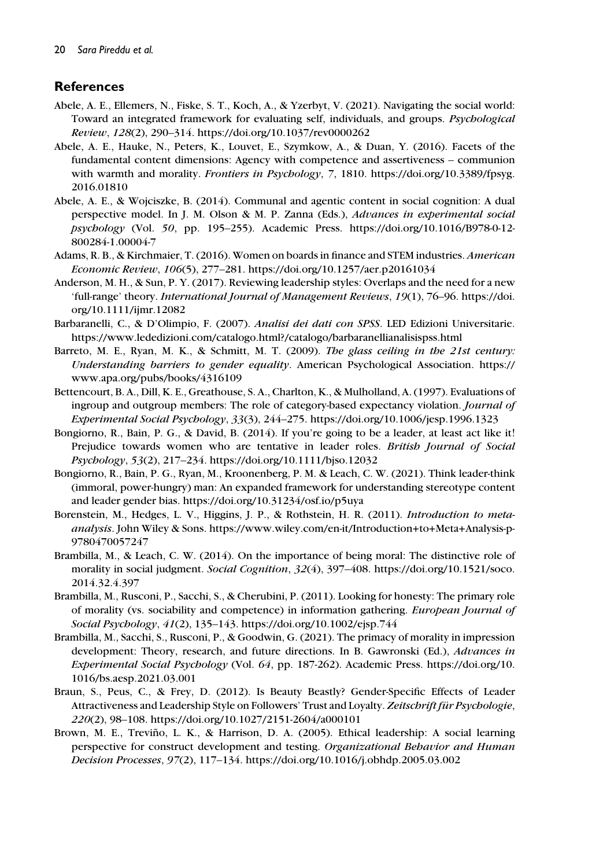# **References**

- Abele, A. E., Ellemers, N., Fiske, S. T., Koch, A., & Yzerbyt, V. (2021). Navigating the social world: Toward an integrated framework for evaluating self, individuals, and groups. Psychological Review, 128(2), 290–314.<https://doi.org/10.1037/rev0000262>
- Abele, A. E., Hauke, N., Peters, K., Louvet, E., Szymkow, A., & Duan, Y. (2016). Facets of the fundamental content dimensions: Agency with competence and assertiveness – communion with warmth and morality. Frontiers in Psychology, 7, 1810. [https://doi.org/10.3389/fpsyg.](https://doi.org/10.3389/fpsyg.2016.01810) [2016.01810](https://doi.org/10.3389/fpsyg.2016.01810)
- Abele, A. E., & Wojciszke, B. (2014). Communal and agentic content in social cognition: A dual perspective model. In J. M. Olson & M. P. Zanna (Eds.), Advances in experimental social psychology (Vol. 50, pp. 195–255). Academic Press. [https://doi.org/10.1016/B978-0-12-](https://doi.org/10.1016/B978-0-12-800284-1.00004-7) [800284-1.00004-7](https://doi.org/10.1016/B978-0-12-800284-1.00004-7)
- Adams, R. B., & Kirchmaier, T. (2016). Women on boards in finance and STEM industries. American Economic Review, 106(5), 277–281.<https://doi.org/10.1257/aer.p20161034>
- Anderson, M. H., & Sun, P. Y. (2017). Reviewing leadership styles: Overlaps and the need for a new 'full-range' theory. International Journal of Management Reviews, 19(1), 76–96. [https://doi.](https://doi.org/10.1111/ijmr.12082) [org/10.1111/ijmr.12082](https://doi.org/10.1111/ijmr.12082)
- Barbaranelli, C., & D'Olimpio, F. (2007). Analisi dei dati con SPSS. LED Edizioni Universitarie. <https://www.lededizioni.com/catalogo.html?/catalogo/barbaranellianalisispss.html>
- Barreto, M. E., Ryan, M. K., & Schmitt, M. T. (2009). The glass ceiling in the 21st century: Understanding barriers to gender equality. American Psychological Association. [https://](https://www.apa.org/pubs/books/4316109) [www.apa.org/pubs/books/4316109](https://www.apa.org/pubs/books/4316109)
- Bettencourt, B. A., Dill, K. E., Greathouse, S. A., Charlton, K., & Mulholland, A. (1997). Evaluations of ingroup and outgroup members: The role of category-based expectancy violation. Journal of Experimental Social Psychology, 33(3), 244–275.<https://doi.org/10.1006/jesp.1996.1323>
- Bongiorno, R., Bain, P. G., & David, B. (2014). If you're going to be a leader, at least act like it! Prejudice towards women who are tentative in leader roles. British Journal of Social Psychology, 53(2), 217–234.<https://doi.org/10.1111/bjso.12032>
- Bongiorno, R., Bain, P. G., Ryan, M., Kroonenberg, P. M. & Leach, C. W. (2021). Think leader-think (immoral, power-hungry) man: An expanded framework for understanding stereotype content and leader gender bias.<https://doi.org/10.31234/osf.io/p5uya>
- Borenstein, M., Hedges, L. V., Higgins, J. P., & Rothstein, H. R. (2011). Introduction to metaanalysis. John Wiley & Sons. [https://www.wiley.com/en-it/Introduction+to+Meta+Analysis-p-](https://www.wiley.com/en-it/Introduction%2Bto%2BMeta%2BAnalysis-p-9780470057247)[9780470057247](https://www.wiley.com/en-it/Introduction%2Bto%2BMeta%2BAnalysis-p-9780470057247)
- Brambilla, M., & Leach, C. W. (2014). On the importance of being moral: The distinctive role of morality in social judgment. Social Cognition, 32(4), 397-408. [https://doi.org/10.1521/soco.](https://doi.org/10.1521/soco.2014.32.4.397) [2014.32.4.397](https://doi.org/10.1521/soco.2014.32.4.397)
- Brambilla, M., Rusconi, P., Sacchi, S., & Cherubini, P. (2011). Looking for honesty: The primary role of morality (vs. sociability and competence) in information gathering. European Journal of Social Psychology, 41(2), 135–143.<https://doi.org/10.1002/ejsp.744>
- Brambilla, M., Sacchi, S., Rusconi, P., & Goodwin, G. (2021). The primacy of morality in impression development: Theory, research, and future directions. In B. Gawronski (Ed.), Advances in Experimental Social Psychology (Vol. 64, pp. 187-262). Academic Press. [https://doi.org/10.](https://doi.org/10.1016/bs.aesp.2021.03.001) [1016/bs.aesp.2021.03.001](https://doi.org/10.1016/bs.aesp.2021.03.001)
- Braun, S., Peus, C., & Frey, D. (2012). Is Beauty Beastly? Gender-Specific Effects of Leader Attractiveness and Leadership Style on Followers' Trust and Loyalty. Zeitschrift für Psychologie, 220(2), 98–108.<https://doi.org/10.1027/2151-2604/a000101>
- Brown, M. E., Treviño, L. K., & Harrison, D. A. (2005). Ethical leadership: A social learning perspective for construct development and testing. Organizational Behavior and Human Decision Processes, 97(2), 117–134.<https://doi.org/10.1016/j.obhdp.2005.03.002>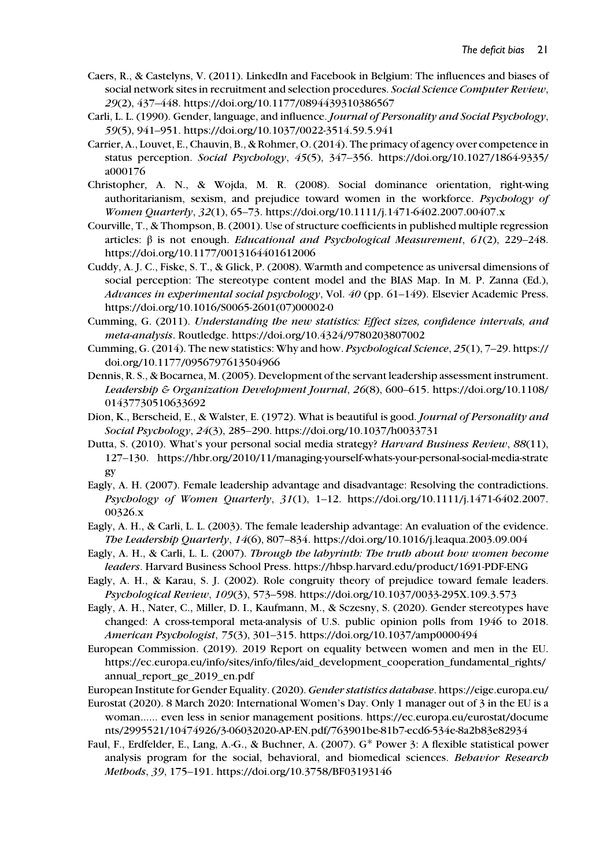- Caers, R., & Castelyns, V. (2011). LinkedIn and Facebook in Belgium: The influences and biases of social network sites in recruitment and selection procedures. Social Science Computer Review, 29(2), 437–448.<https://doi.org/10.1177/0894439310386567>
- Carli, L. L. (1990). Gender, language, and influence. Journal of Personality and Social Psychology, 59(5), 941–951.<https://doi.org/10.1037/0022-3514.59.5.941>
- Carrier, A., Louvet, E., Chauvin, B., & Rohmer, O. (2014). The primacy of agency over competence in status perception. Social Psychology, 45(5), 347–356. [https://doi.org/10.1027/1864-9335/](https://doi.org/10.1027/1864-9335/a000176) [a000176](https://doi.org/10.1027/1864-9335/a000176)
- Christopher, A. N., & Wojda, M. R. (2008). Social dominance orientation, right-wing authoritarianism, sexism, and prejudice toward women in the workforce. Psychology of Women Quarterly, 32(1), 65–73.<https://doi.org/10.1111/j.1471-6402.2007.00407.x>
- Courville, T., & Thompson, B. (2001). Use of structure coefficients in published multiple regression articles: β is not enough. *Educational and Psychological Measurement*,  $61(2)$ , 229–248. <https://doi.org/10.1177/0013164401612006>
- Cuddy, A. J. C., Fiske, S. T., & Glick, P. (2008). Warmth and competence as universal dimensions of social perception: The stereotype content model and the BIAS Map. In M. P. Zanna (Ed.), Advances in experimental social psychology, Vol. 40 (pp. 61–149). Elsevier Academic Press. [https://doi.org/10.1016/S0065-2601\(07\)00002-0](https://doi.org/10.1016/S0065-2601(07)00002-0)
- Cumming, G. (2011). Understanding the new statistics: Effect sizes, confidence intervals, and meta-analysis. Routledge.<https://doi.org/10.4324/9780203807002>
- Cumming, G. (2014). The new statistics: Why and how. Psychological Science, 25(1), 7–29. [https://](https://doi.org/10.1177/0956797613504966) [doi.org/10.1177/0956797613504966](https://doi.org/10.1177/0956797613504966)
- Dennis, R. S., & Bocarnea, M. (2005). Development of the servant leadership assessment instrument. Leadership & Organization Development Journal, 26(8), 600–615. [https://doi.org/10.1108/](https://doi.org/10.1108/01437730510633692) [01437730510633692](https://doi.org/10.1108/01437730510633692)
- Dion, K., Berscheid, E., & Walster, E. (1972). What is beautiful is good. Journal of Personality and Social Psychology, 24(3), 285–290.<https://doi.org/10.1037/h0033731>
- Dutta, S. (2010). What's your personal social media strategy? Harvard Business Review, 88(11), 127–130. [https://hbr.org/2010/11/managing-yourself-whats-your-personal-social-media-strate](https://hbr.org/2010/11/managing-yourself-whats-your-personal-social-media-strategy) [gy](https://hbr.org/2010/11/managing-yourself-whats-your-personal-social-media-strategy)
- Eagly, A. H. (2007). Female leadership advantage and disadvantage: Resolving the contradictions. Psychology of Women Quarterly, 31(1), 1–12. [https://doi.org/10.1111/j.1471-6402.2007.](https://doi.org/10.1111/j.1471-6402.2007.00326.x) [00326.x](https://doi.org/10.1111/j.1471-6402.2007.00326.x)
- Eagly, A. H., & Carli, L. L. (2003). The female leadership advantage: An evaluation of the evidence. The Leadership Quarterly, 14(6), 807–834.<https://doi.org/10.1016/j.leaqua.2003.09.004>
- Eagly, A. H., & Carli, L. L. (2007). Through the labyrinth: The truth about how women become leaders. Harvard Business School Press.<https://hbsp.harvard.edu/product/1691-PDF-ENG>
- Eagly, A. H., & Karau, S. J. (2002). Role congruity theory of prejudice toward female leaders. Psychological Review, 109(3), 573–598.<https://doi.org/10.1037/0033-295X.109.3.573>
- Eagly, A. H., Nater, C., Miller, D. I., Kaufmann, M., & Sczesny, S. (2020). Gender stereotypes have changed: A cross-temporal meta-analysis of U.S. public opinion polls from 1946 to 2018. American Psychologist, 75(3), 301–315.<https://doi.org/10.1037/amp0000494>
- European Commission. (2019). 2019 Report on equality between women and men in the EU. [https://ec.europa.eu/info/sites/info/files/aid\\_development\\_cooperation\\_fundamental\\_rights/](https://ec.europa.eu/info/sites/info/files/aid_development_cooperation_fundamental_rights/annual_report_ge_2019_en.pdf) [annual\\_report\\_ge\\_2019\\_en.pdf](https://ec.europa.eu/info/sites/info/files/aid_development_cooperation_fundamental_rights/annual_report_ge_2019_en.pdf)
- European Institute for Gender Equality. (2020). Gender statistics database. [https://eige.europa.eu/](https://eige.europa.eu/gender-statistics/dgs)
- Eurostat (2020). 8 March 2020: International Women's Day. Only 1 manager out of 3 in the EU is a woman...... even less in senior management positions. [https://ec.europa.eu/eurostat/docume](https://ec.europa.eu/eurostat/documents/2995521/10474926/3-06032020-AP-EN.pdf/763901be-81b7-ecd6-534e-8a2b83e82934) [nts/2995521/10474926/3-06032020-AP-EN.pdf/763901be-81b7-ecd6-534e-8a2b83e82934](https://ec.europa.eu/eurostat/documents/2995521/10474926/3-06032020-AP-EN.pdf/763901be-81b7-ecd6-534e-8a2b83e82934)
- Faul, F., Erdfelder, E., Lang, A.-G., & Buchner, A. (2007). G\* Power 3: A flexible statistical power analysis program for the social, behavioral, and biomedical sciences. Behavior Research Methods, 39, 175–191.<https://doi.org/10.3758/BF03193146>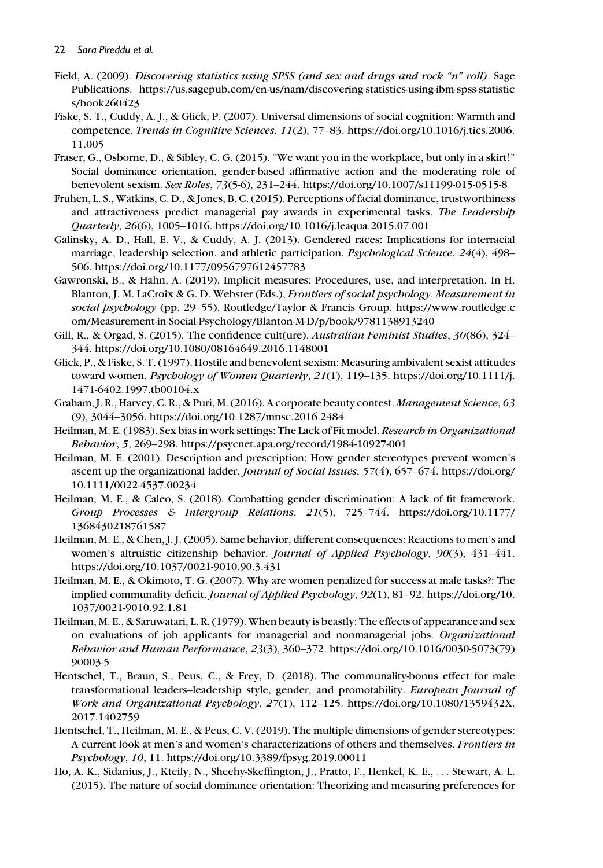- Field, A. (2009). Discovering statistics using SPSS (and sex and drugs and rock "n" roll). Sage Publications. [https://us.sagepub.com/en-us/nam/discovering-statistics-using-ibm-spss-statistic](https://us.sagepub.com/en-us/nam/discovering-statistics-using-ibm-spss-statistics/book260423) [s/book260423](https://us.sagepub.com/en-us/nam/discovering-statistics-using-ibm-spss-statistics/book260423)
- Fiske, S. T., Cuddy, A. J., & Glick, P. (2007). Universal dimensions of social cognition: Warmth and competence. Trends in Cognitive Sciences, 11(2), 77–83. [https://doi.org/10.1016/j.tics.2006.](https://doi.org/10.1016/j.tics.2006.11.005) [11.005](https://doi.org/10.1016/j.tics.2006.11.005)
- Fraser, G., Osborne, D., & Sibley, C. G. (2015). "We want you in the workplace, but only in a skirt!" Social dominance orientation, gender-based affirmative action and the moderating role of benevolent sexism. Sex Roles, 73(5-6), 231–244.<https://doi.org/10.1007/s11199-015-0515-8>
- Fruhen, L. S., Watkins, C. D., & Jones, B. C. (2015). Perceptions of facial dominance, trustworthiness and attractiveness predict managerial pay awards in experimental tasks. The Leadership Quarterly, 26(6), 1005–1016.<https://doi.org/10.1016/j.leaqua.2015.07.001>
- Galinsky, A. D., Hall, E. V., & Cuddy, A. J. (2013). Gendered races: Implications for interracial marriage, leadership selection, and athletic participation. *Psychological Science*, 24(4), 498– 506.<https://doi.org/10.1177/0956797612457783>
- Gawronski, B., & Hahn, A. (2019). Implicit measures: Procedures, use, and interpretation. In H. Blanton, J. M. LaCroix & G. D. Webster (Eds.), Frontiers of social psychology. Measurement in social psychology (pp. 29–55). Routledge/Taylor & Francis Group. [https://www.routledge.c](https://www.routledge.com/Measurement-in-Social-Psychology/Blanton-M-D/p/book/9781138913240) [om/Measurement-in-Social-Psychology/Blanton-M-D/p/book/9781138913240](https://www.routledge.com/Measurement-in-Social-Psychology/Blanton-M-D/p/book/9781138913240)
- Gill, R., & Orgad, S. (2015). The confidence cult(ure). Australian Feminist Studies, 30(86), 324– 344.<https://doi.org/10.1080/08164649.2016.1148001>
- Glick, P., & Fiske, S. T. (1997). Hostile and benevolent sexism: Measuring ambivalent sexist attitudes toward women. Psychology of Women Quarterly, 21(1), 119–135. [https://doi.org/10.1111/j.](https://doi.org/10.1111/j.1471-6402.1997.tb00104.x) [1471-6402.1997.tb00104.x](https://doi.org/10.1111/j.1471-6402.1997.tb00104.x)
- Graham, J. R., Harvey, C. R., & Puri, M. (2016). A corporate beauty contest. Management Science, 63 (9), 3044–3056.<https://doi.org/10.1287/mnsc.2016.2484>
- Heilman, M. E. (1983). Sex bias in work settings: The Lack of Fit model. Research in Organizational Behavior, 5, 269–298.<https://psycnet.apa.org/record/1984-10927-001>
- Heilman, M. E. (2001). Description and prescription: How gender stereotypes prevent women's ascent up the organizational ladder. Journal of Social Issues, 57(4), 657–674. [https://doi.org/](https://doi.org/10.1111/0022-4537.00234) [10.1111/0022-4537.00234](https://doi.org/10.1111/0022-4537.00234)
- Heilman, M. E., & Caleo, S. (2018). Combatting gender discrimination: A lack of fit framework. Group Processes & Intergroup Relations, 21(5), 725–744. [https://doi.org/10.1177/](https://doi.org/10.1177/1368430218761587) [1368430218761587](https://doi.org/10.1177/1368430218761587)
- Heilman, M. E., & Chen, J. J. (2005). Same behavior, different consequences: Reactions to men's and women's altruistic citizenship behavior. Journal of Applied Psychology, 90(3), 431-441. <https://doi.org/10.1037/0021-9010.90.3.431>
- Heilman, M. E., & Okimoto, T. G. (2007). Why are women penalized for success at male tasks?: The implied communality deficit. Journal of Applied Psychology, 92(1), 81–92. [https://doi.org/10.](https://doi.org/10.1037/0021-9010.92.1.81) [1037/0021-9010.92.1.81](https://doi.org/10.1037/0021-9010.92.1.81)
- Heilman, M. E., & Saruwatari, L. R. (1979). When beauty is beastly: The effects of appearance and sex on evaluations of job applicants for managerial and nonmanagerial jobs. Organizational Behavior and Human Performance, 23(3), 360–372. [https://doi.org/10.1016/0030-5073\(79\)](https://doi.org/10.1016/0030-5073(79)90003-5) [90003-5](https://doi.org/10.1016/0030-5073(79)90003-5)
- Hentschel, T., Braun, S., Peus, C., & Frey, D. (2018). The communality-bonus effect for male transformational leaders–leadership style, gender, and promotability. European Journal of Work and Organizational Psychology, 27(1), 112–125. [https://doi.org/10.1080/1359432X.](https://doi.org/10.1080/1359432X.2017.1402759) [2017.1402759](https://doi.org/10.1080/1359432X.2017.1402759)
- Hentschel, T., Heilman, M. E., & Peus, C. V. (2019). The multiple dimensions of gender stereotypes: A current look at men's and women's characterizations of others and themselves. Frontiers in Psychology, 10, 11.<https://doi.org/10.3389/fpsyg.2019.00011>
- Ho, A. K., Sidanius, J., Kteily, N., Sheehy-Skeffington, J., Pratto, F., Henkel, K. E., ... Stewart, A. L. (2015). The nature of social dominance orientation: Theorizing and measuring preferences for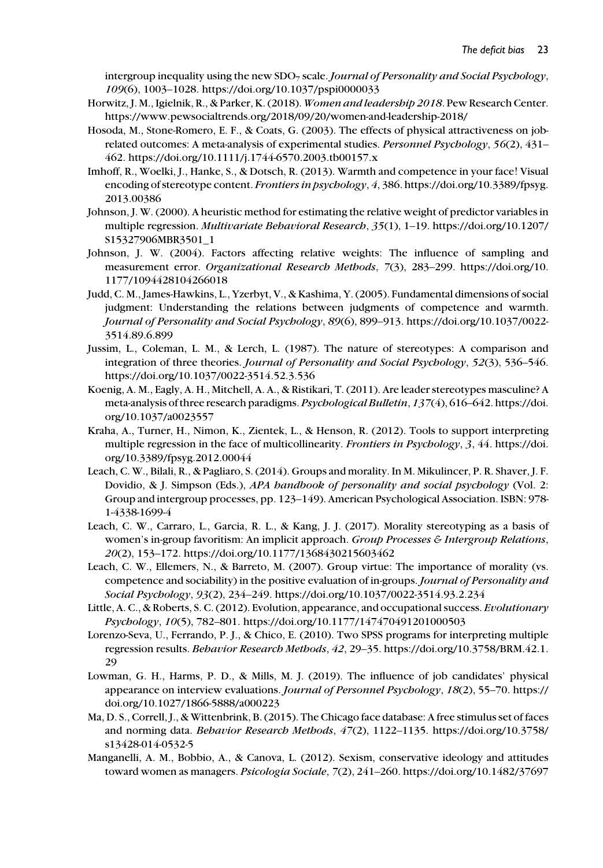intergroup inequality using the new  $SDO<sub>7</sub>$  scale. Journal of Personality and Social Psychology, 109(6), 1003–1028.<https://doi.org/10.1037/pspi0000033>

- Horwitz, J. M., Igielnik, R., & Parker, K. (2018). Women and leadership 2018. Pew Research Center. <https://www.pewsocialtrends.org/2018/09/20/women-and-leadership-2018/>
- Hosoda, M., Stone-Romero, E. F., & Coats, G. (2003). The effects of physical attractiveness on jobrelated outcomes: A meta-analysis of experimental studies. Personnel Psychology, 56(2), 431– 462.<https://doi.org/10.1111/j.1744-6570.2003.tb00157.x>
- Imhoff, R., Woelki, J., Hanke, S., & Dotsch, R. (2013). Warmth and competence in your face! Visual encoding of stereotype content. Frontiers in psychology, 4, 386. [https://doi.org/10.3389/fpsyg.](https://doi.org/10.3389/fpsyg.2013.00386) [2013.00386](https://doi.org/10.3389/fpsyg.2013.00386)
- Johnson, J. W. (2000). A heuristic method for estimating the relative weight of predictor variables in multiple regression. Multivariate Behavioral Research, 35(1), 1–19. [https://doi.org/10.1207/](https://doi.org/10.1207/S15327906MBR3501_1) [S15327906MBR3501\\_1](https://doi.org/10.1207/S15327906MBR3501_1)
- Johnson, J. W. (2004). Factors affecting relative weights: The influence of sampling and measurement error. Organizational Research Methods, 7(3), 283–299. [https://doi.org/10.](https://doi.org/10.1177/1094428104266018) [1177/1094428104266018](https://doi.org/10.1177/1094428104266018)
- Judd, C. M., James-Hawkins, L., Yzerbyt, V., & Kashima, Y. (2005). Fundamental dimensions of social judgment: Understanding the relations between judgments of competence and warmth. Journal of Personality and Social Psychology, 89(6), 899–913. [https://doi.org/10.1037/0022-](https://doi.org/10.1037/0022-3514.89.6.899) [3514.89.6.899](https://doi.org/10.1037/0022-3514.89.6.899)
- Jussim, L., Coleman, L. M., & Lerch, L. (1987). The nature of stereotypes: A comparison and integration of three theories. Journal of Personality and Social Psychology, 52(3), 536–546. <https://doi.org/10.1037/0022-3514.52.3.536>
- Koenig, A. M., Eagly, A. H., Mitchell, A. A., & Ristikari, T. (2011). Are leader stereotypes masculine? A meta-analysis of three research paradigms. Psychological Bulletin, 137(4), 616–642. [https://doi.](https://doi.org/10.1037/a0023557) [org/10.1037/a0023557](https://doi.org/10.1037/a0023557)
- Kraha, A., Turner, H., Nimon, K., Zientek, L., & Henson, R. (2012). Tools to support interpreting multiple regression in the face of multicollinearity. Frontiers in Psychology, 3, 44. [https://doi.](https://doi.org/10.3389/fpsyg.2012.00044) [org/10.3389/fpsyg.2012.00044](https://doi.org/10.3389/fpsyg.2012.00044)
- Leach, C. W., Bilali, R., & Pagliaro, S. (2014). Groups and morality. In M. Mikulincer, P. R. Shaver, J. F. Dovidio, & J. Simpson (Eds.), APA handbook of personality and social psychology (Vol. 2: Group and intergroup processes, pp. 123–149). American Psychological Association. ISBN: 978- 1-4338-1699-4
- Leach, C. W., Carraro, L., Garcia, R. L., & Kang, J. J. (2017). Morality stereotyping as a basis of women's in-group favoritism: An implicit approach. Group Processes & Intergroup Relations, 20(2), 153–172.<https://doi.org/10.1177/1368430215603462>
- Leach, C. W., Ellemers, N., & Barreto, M. (2007). Group virtue: The importance of morality (vs. competence and sociability) in the positive evaluation of in-groups. Journal of Personality and Social Psychology, 93(2), 234–249.<https://doi.org/10.1037/0022-3514.93.2.234>
- Little, A. C., & Roberts, S. C. (2012). Evolution, appearance, and occupational success. Evolutionary Psychology, 10(5), 782–801.<https://doi.org/10.1177/147470491201000503>
- Lorenzo-Seva, U., Ferrando, P. J., & Chico, E. (2010). Two SPSS programs for interpreting multiple regression results. Behavior Research Methods, 42, 29–35. [https://doi.org/10.3758/BRM.42.1.](https://doi.org/10.3758/BRM.42.1.29) [29](https://doi.org/10.3758/BRM.42.1.29)
- Lowman, G. H., Harms, P. D., & Mills, M. J. (2019). The influence of job candidates' physical appearance on interview evaluations. Journal of Personnel Psychology, 18(2), 55–70. [https://](https://doi.org/10.1027/1866-5888/a000223) [doi.org/10.1027/1866-5888/a000223](https://doi.org/10.1027/1866-5888/a000223)
- Ma, D. S., Correll, J., & Wittenbrink, B. (2015). The Chicago face database: A free stimulus set of faces and norming data. Behavior Research Methods, 47(2), 1122–1135. [https://doi.org/10.3758/](https://doi.org/10.3758/s13428-014-0532-5) [s13428-014-0532-5](https://doi.org/10.3758/s13428-014-0532-5)
- Manganelli, A. M., Bobbio, A., & Canova, L. (2012). Sexism, conservative ideology and attitudes toward women as managers. Psicologia Sociale, 7(2), 241–260.<https://doi.org/10.1482/37697>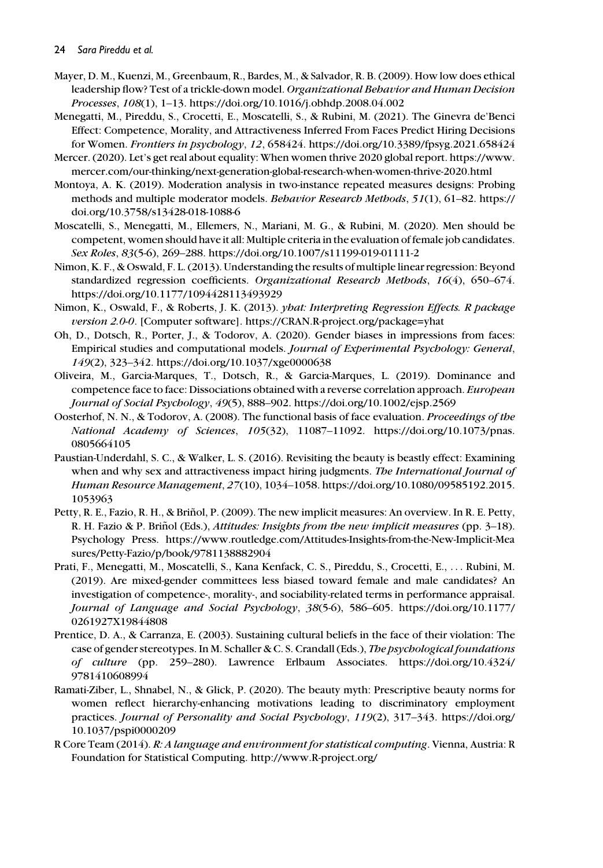#### 24 Sara Pireddu et al.

- Mayer, D. M., Kuenzi, M., Greenbaum, R., Bardes, M., & Salvador, R. B. (2009). How low does ethical leadership flow? Test of a trickle-down model. Organizational Behavior and Human Decision Processes, 108(1), 1–13.<https://doi.org/10.1016/j.obhdp.2008.04.002>
- Menegatti, M., Pireddu, S., Crocetti, E., Moscatelli, S., & Rubini, M. (2021). The Ginevra de'Benci Effect: Competence, Morality, and Attractiveness Inferred From Faces Predict Hiring Decisions for Women. Frontiers in psychology, 12, 658424.<https://doi.org/10.3389/fpsyg.2021.658424>
- Mercer. (2020). Let's get real about equality: When women thrive 2020 global report. [https://www.](https://www.mercer.com/our-thinking/next-generation-global-research-when-women-thrive-2020.html) [mercer.com/our-thinking/next-generation-global-research-when-women-thrive-2020.html](https://www.mercer.com/our-thinking/next-generation-global-research-when-women-thrive-2020.html)
- Montoya, A. K. (2019). Moderation analysis in two-instance repeated measures designs: Probing methods and multiple moderator models. Behavior Research Methods, 51(1), 61–82. [https://](https://doi.org/10.3758/s13428-018-1088-6) [doi.org/10.3758/s13428-018-1088-6](https://doi.org/10.3758/s13428-018-1088-6)
- Moscatelli, S., Menegatti, M., Ellemers, N., Mariani, M. G., & Rubini, M. (2020). Men should be competent, women should have it all: Multiple criteria in the evaluation of female job candidates. Sex Roles, 83(5-6), 269–288.<https://doi.org/10.1007/s11199-019-01111-2>
- Nimon, K. F., & Oswald, F. L. (2013). Understanding the results of multiple linear regression: Beyond standardized regression coefficients. Organizational Research Methods, 16(4), 650–674. <https://doi.org/10.1177/1094428113493929>
- Nimon, K., Oswald, F., & Roberts, J. K. (2013). yhat: Interpreting Regression Effects. R package version 2.0-0. [Computer software].<https://CRAN.R-project.org/package=yhat>
- Oh, D., Dotsch, R., Porter, J., & Todorov, A. (2020). Gender biases in impressions from faces: Empirical studies and computational models. Journal of Experimental Psychology: General, 149(2), 323–342.<https://doi.org/10.1037/xge0000638>
- Oliveira, M., Garcia-Marques, T., Dotsch, R., & Garcia-Marques, L. (2019). Dominance and competence face to face: Dissociations obtained with a reverse correlation approach. European Journal of Social Psychology, 49(5), 888–902.<https://doi.org/10.1002/ejsp.2569>
- Oosterhof, N. N., & Todorov, A. (2008). The functional basis of face evaluation. Proceedings of the National Academy of Sciences, 105(32), 11087–11092. [https://doi.org/10.1073/pnas.](https://doi.org/10.1073/pnas.0805664105) [0805664105](https://doi.org/10.1073/pnas.0805664105)
- Paustian-Underdahl, S. C., & Walker, L. S. (2016). Revisiting the beauty is beastly effect: Examining when and why sex and attractiveness impact hiring judgments. The International Journal of Human Resource Management, 27(10), 1034–1058. [https://doi.org/10.1080/09585192.2015.](https://doi.org/10.1080/09585192.2015.1053963) [1053963](https://doi.org/10.1080/09585192.2015.1053963)
- Petty, R. E., Fazio, R. H., & Briñol, P. (2009). The new implicit measures: An overview. In R. E. Petty, R. H. Fazio & P. Briñol (Eds.), *Attitudes: Insights from the new implicit measures* (pp.  $3-18$ ). Psychology Press. [https://www.routledge.com/Attitudes-Insights-from-the-New-Implicit-Mea](https://www.routledge.com/Attitudes-Insights-from-the-New-Implicit-Measures/Petty-Fazio/p/book/9781138882904) [sures/Petty-Fazio/p/book/9781138882904](https://www.routledge.com/Attitudes-Insights-from-the-New-Implicit-Measures/Petty-Fazio/p/book/9781138882904)
- Prati, F., Menegatti, M., Moscatelli, S., Kana Kenfack, C. S., Pireddu, S., Crocetti, E., ... Rubini, M. (2019). Are mixed-gender committees less biased toward female and male candidates? An investigation of competence-, morality-, and sociability-related terms in performance appraisal. Journal of Language and Social Psychology, 38(5-6), 586–605. [https://doi.org/10.1177/](https://doi.org/10.1177/0261927X19844808) [0261927X19844808](https://doi.org/10.1177/0261927X19844808)
- Prentice, D. A., & Carranza, E. (2003). Sustaining cultural beliefs in the face of their violation: The case of gender stereotypes. In M. Schaller & C. S. Crandall (Eds.), The psychological foundations of culture (pp. 259–280). Lawrence Erlbaum Associates. [https://doi.org/10.4324/](https://doi.org/10.4324/9781410608994) [9781410608994](https://doi.org/10.4324/9781410608994)
- Ramati-Ziber, L., Shnabel, N., & Glick, P. (2020). The beauty myth: Prescriptive beauty norms for women reflect hierarchy-enhancing motivations leading to discriminatory employment practices. Journal of Personality and Social Psychology, 119(2), 317–343. [https://doi.org/](https://doi.org/10.1037/pspi0000209) [10.1037/pspi0000209](https://doi.org/10.1037/pspi0000209)
- R Core Team (2014). R: A language and environment for statistical computing. Vienna, Austria: R Foundation for Statistical Computing.<http://www.R-project.org/>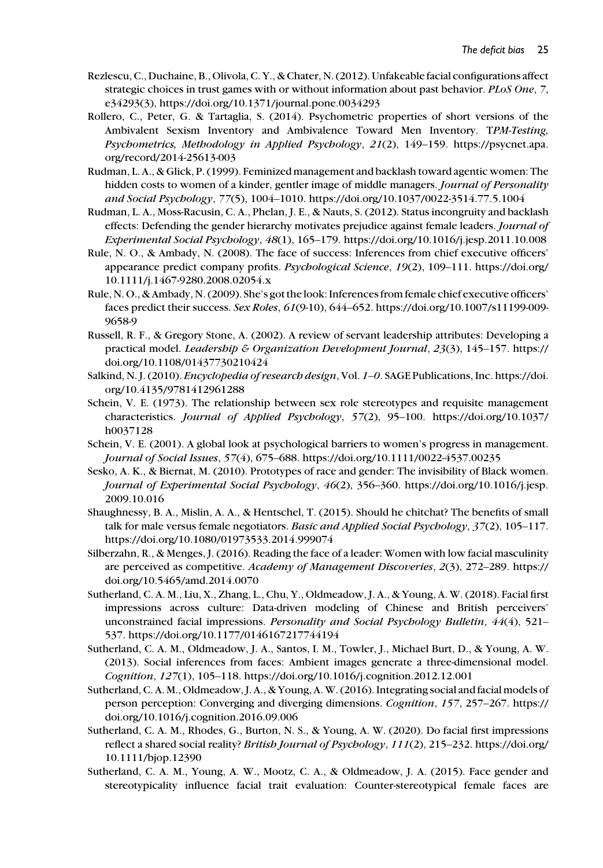- Rezlescu, C., Duchaine, B., Olivola, C. Y., & Chater, N. (2012). Unfakeable facial configurations affect strategic choices in trust games with or without information about past behavior. PLoS One, 7, e34293(3),<https://doi.org/10.1371/journal.pone.0034293>
- Rollero, C., Peter, G. & Tartaglia, S. (2014). Psychometric properties of short versions of the Ambivalent Sexism Inventory and Ambivalence Toward Men Inventory. TPM-Testing, Psychometrics, Methodology in Applied Psychology, 21(2), 149–159. [https://psycnet.apa.](https://psycnet.apa.org/record/2014-25613-003) [org/record/2014-25613-003](https://psycnet.apa.org/record/2014-25613-003)
- Rudman, L. A., & Glick, P. (1999). Feminized management and backlash toward agentic women: The hidden costs to women of a kinder, gentler image of middle managers. *Journal of Personality* and Social Psychology, 77(5), 1004–1010.<https://doi.org/10.1037/0022-3514.77.5.1004>
- Rudman, L. A., Moss-Racusin, C. A., Phelan, J. E., & Nauts, S. (2012). Status incongruity and backlash effects: Defending the gender hierarchy motivates prejudice against female leaders. Journal of Experimental Social Psychology, 48(1), 165–179.<https://doi.org/10.1016/j.jesp.2011.10.008>
- Rule, N. O., & Ambady, N. (2008). The face of success: Inferences from chief executive officers' appearance predict company profits. Psychological Science, 19(2), 109–111. [https://doi.org/](https://doi.org/10.1111/j.1467-9280.2008.02054.x) [10.1111/j.1467-9280.2008.02054.x](https://doi.org/10.1111/j.1467-9280.2008.02054.x)
- Rule, N. O., & Ambady, N. (2009). She's got the look: Inferences from female chief executive officers' faces predict their success. Sex Roles, 61(9-10), 644–652. [https://doi.org/10.1007/s11199-009-](https://doi.org/10.1007/s11199-009-9658-9) [9658-9](https://doi.org/10.1007/s11199-009-9658-9)
- Russell, R. F., & Gregory Stone, A. (2002). A review of servant leadership attributes: Developing a practical model. Leadership & Organization Development Journal, 23(3), 145–157. [https://](https://doi.org/10.1108/01437730210424) [doi.org/10.1108/01437730210424](https://doi.org/10.1108/01437730210424)
- Salkind, N. J. (2010). Encyclopedia of research design, Vol. 1–0. SAGE Publications, Inc. [https://doi.](https://doi.org/10.4135/9781412961288) [org/10.4135/9781412961288](https://doi.org/10.4135/9781412961288)
- Schein, V. E. (1973). The relationship between sex role stereotypes and requisite management characteristics. Journal of Applied Psychology, 57(2), 95–100. [https://doi.org/10.1037/](https://doi.org/10.1037/h0037128) [h0037128](https://doi.org/10.1037/h0037128)
- Schein, V. E. (2001). A global look at psychological barriers to women's progress in management. Journal of Social Issues, 57(4), 675–688.<https://doi.org/10.1111/0022-4537.00235>
- Sesko, A. K., & Biernat, M. (2010). Prototypes of race and gender: The invisibility of Black women. Journal of Experimental Social Psychology, 46(2), 356–360. [https://doi.org/10.1016/j.jesp.](https://doi.org/10.1016/j.jesp.2009.10.016) [2009.10.016](https://doi.org/10.1016/j.jesp.2009.10.016)
- Shaughnessy, B. A., Mislin, A. A., & Hentschel, T. (2015). Should he chitchat? The benefits of small talk for male versus female negotiators. Basic and Applied Social Psychology, 37(2), 105–117. <https://doi.org/10.1080/01973533.2014.999074>
- Silberzahn, R., & Menges, J. (2016). Reading the face of a leader: Women with low facial masculinity are perceived as competitive. Academy of Management Discoveries, 2(3), 272–289. [https://](https://doi.org/10.5465/amd.2014.0070) [doi.org/10.5465/amd.2014.0070](https://doi.org/10.5465/amd.2014.0070)
- Sutherland, C. A. M., Liu, X., Zhang, L., Chu, Y., Oldmeadow, J. A., & Young, A. W. (2018). Facial first impressions across culture: Data-driven modeling of Chinese and British perceivers' unconstrained facial impressions. Personality and Social Psychology Bulletin, 44(4), 521– 537.<https://doi.org/10.1177/0146167217744194>
- Sutherland, C. A. M., Oldmeadow, J. A., Santos, I. M., Towler, J., Michael Burt, D., & Young, A. W. (2013). Social inferences from faces: Ambient images generate a three-dimensional model. Cognition, 127(1), 105–118.<https://doi.org/10.1016/j.cognition.2012.12.001>
- Sutherland, C. A. M., Oldmeadow, J. A., & Young, A. W. (2016). Integrating social and facial models of person perception: Converging and diverging dimensions. Cognition, 157, 257–267. [https://](https://doi.org/10.1016/j.cognition.2016.09.006) [doi.org/10.1016/j.cognition.2016.09.006](https://doi.org/10.1016/j.cognition.2016.09.006)
- Sutherland, C. A. M., Rhodes, G., Burton, N. S., & Young, A. W. (2020). Do facial first impressions reflect a shared social reality? British Journal of Psychology, 111(2), 215–232. [https://doi.org/](https://doi.org/10.1111/bjop.12390) [10.1111/bjop.12390](https://doi.org/10.1111/bjop.12390)
- Sutherland, C. A. M., Young, A. W., Mootz, C. A., & Oldmeadow, J. A. (2015). Face gender and stereotypicality influence facial trait evaluation: Counter-stereotypical female faces are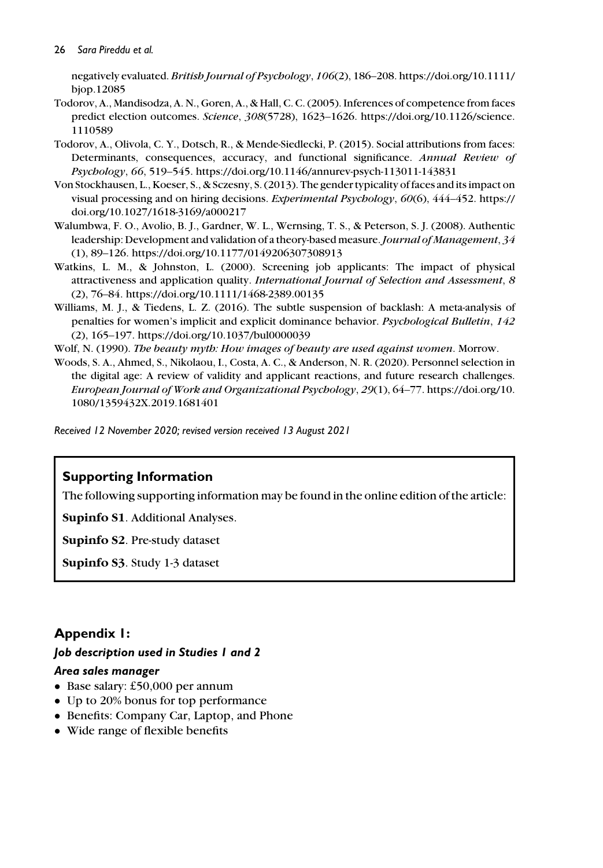negatively evaluated. British Journal of Psychology, 106(2), 186–208. [https://doi.org/10.1111/](https://doi.org/10.1111/bjop.12085) [bjop.12085](https://doi.org/10.1111/bjop.12085)

- Todorov, A., Mandisodza, A. N., Goren, A., & Hall, C. C. (2005). Inferences of competence from faces predict election outcomes. Science, 308(5728), 1623–1626. [https://doi.org/10.1126/science.](https://doi.org/10.1126/science.1110589) [1110589](https://doi.org/10.1126/science.1110589)
- Todorov, A., Olivola, C. Y., Dotsch, R., & Mende-Siedlecki, P. (2015). Social attributions from faces: Determinants, consequences, accuracy, and functional significance. Annual Review of Psychology, 66, 519–545.<https://doi.org/10.1146/annurev-psych-113011-143831>
- Von Stockhausen, L., Koeser, S., & Sczesny, S. (2013). The gender typicality of faces and its impact on visual processing and on hiring decisions. Experimental Psychology, 60(6), 444–452. [https://](https://doi.org/10.1027/1618-3169/a000217) [doi.org/10.1027/1618-3169/a000217](https://doi.org/10.1027/1618-3169/a000217)
- Walumbwa, F. O., Avolio, B. J., Gardner, W. L., Wernsing, T. S., & Peterson, S. J. (2008). Authentic leadership: Development and validation of a theory-based measure. Journal of Management, 34 (1), 89–126.<https://doi.org/10.1177/0149206307308913>
- Watkins, L. M., & Johnston, L. (2000). Screening job applicants: The impact of physical attractiveness and application quality. International Journal of Selection and Assessment, 8 (2), 76–84.<https://doi.org/10.1111/1468-2389.00135>
- Williams, M. J., & Tiedens, L. Z. (2016). The subtle suspension of backlash: A meta-analysis of penalties for women's implicit and explicit dominance behavior. Psychological Bulletin, 142 (2), 165–197.<https://doi.org/10.1037/bul0000039>
- Wolf, N. (1990). The beauty myth: How images of beauty are used against women. Morrow.
- Woods, S. A., Ahmed, S., Nikolaou, I., Costa, A. C., & Anderson, N. R. (2020). Personnel selection in the digital age: A review of validity and applicant reactions, and future research challenges. European Journal of Work and Organizational Psychology, 29(1), 64–77. [https://doi.org/10.](https://doi.org/10.1080/1359432X.2019.1681401) [1080/1359432X.2019.1681401](https://doi.org/10.1080/1359432X.2019.1681401)

Received 12 November 2020; revised version received 13 August 2021

# Supporting Information

The following supporting information may be found in the online edition of the article:

Supinfo S1. Additional Analyses.

Supinfo S2. Pre-study dataset

Supinfo S3. Study 1-3 dataset

# Appendix 1:

## Job description used in Studies 1 and 2

## Area sales manager

- Base salary: £50,000 per annum
- Up to 20% bonus for top performance
- Benefits: Company Car, Laptop, and Phone
- Wide range of flexible benefits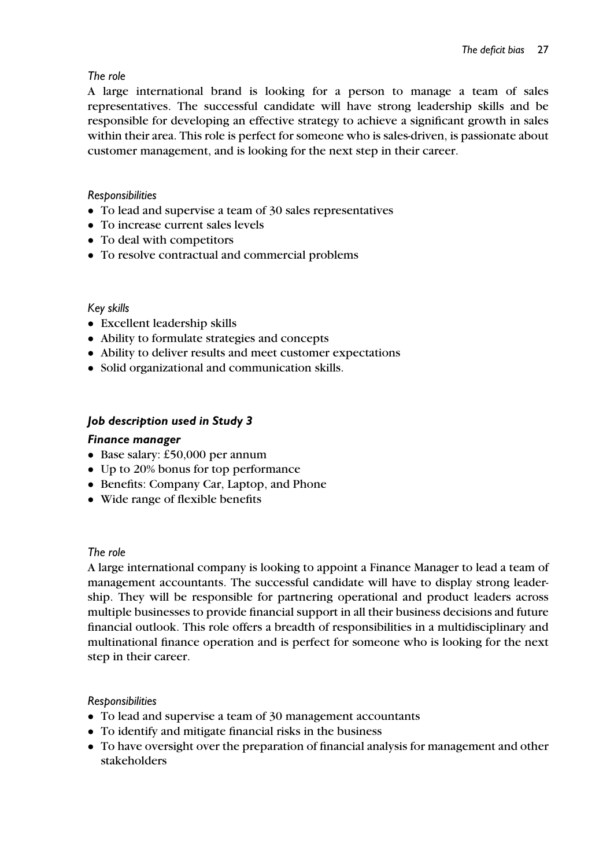# The role

A large international brand is looking for a person to manage a team of sales representatives. The successful candidate will have strong leadership skills and be responsible for developing an effective strategy to achieve a significant growth in sales within their area. This role is perfect for someone who is sales-driven, is passionate about customer management, and is looking for the next step in their career.

# Responsibilities

- To lead and supervise a team of 30 sales representatives
- To increase current sales levels
- To deal with competitors
- To resolve contractual and commercial problems

# Key skills

- Excellent leadership skills
- Ability to formulate strategies and concepts
- Ability to deliver results and meet customer expectations
- Solid organizational and communication skills.

# Job description used in Study 3

# Finance manager

- Base salary: £50,000 per annum
- Up to 20% bonus for top performance
- Benefits: Company Car, Laptop, and Phone
- Wide range of flexible benefits

## The role

A large international company is looking to appoint a Finance Manager to lead a team of management accountants. The successful candidate will have to display strong leadership. They will be responsible for partnering operational and product leaders across multiple businesses to provide financial support in all their business decisions and future financial outlook. This role offers a breadth of responsibilities in a multidisciplinary and multinational finance operation and is perfect for someone who is looking for the next step in their career.

## Responsibilities

- To lead and supervise a team of 30 management accountants
- To identify and mitigate financial risks in the business
- To have oversight over the preparation of financial analysis for management and other stakeholders